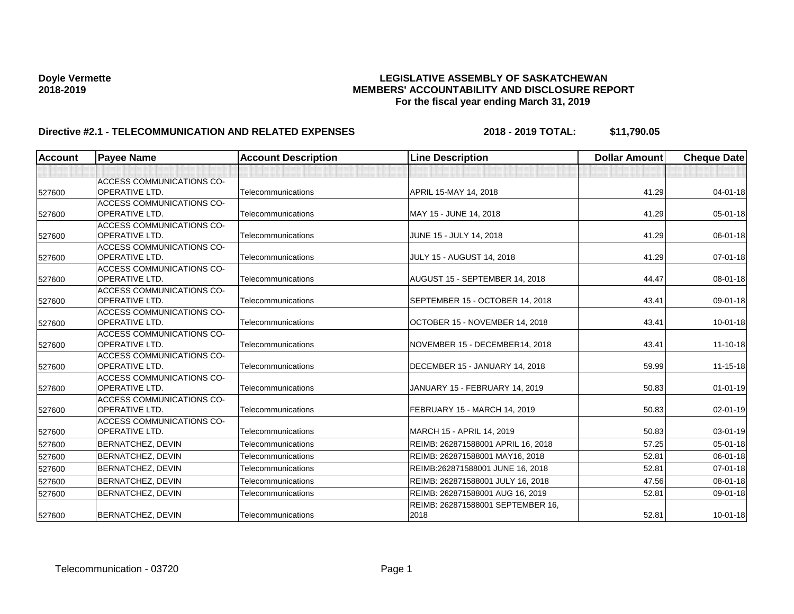| <b>Account</b> | <b>Payee Name</b>                                         | <b>Account Description</b> | <b>Line Description</b>                   | <b>Dollar Amount</b> | <b>Cheque Date</b> |
|----------------|-----------------------------------------------------------|----------------------------|-------------------------------------------|----------------------|--------------------|
|                |                                                           |                            |                                           |                      |                    |
| 527600         | <b>ACCESS COMMUNICATIONS CO-</b><br><b>OPERATIVE LTD.</b> | Telecommunications         | APRIL 15-MAY 14, 2018                     | 41.29                | $04 - 01 - 18$     |
|                | <b>ACCESS COMMUNICATIONS CO-</b>                          |                            |                                           |                      |                    |
| 527600         | <b>OPERATIVE LTD.</b>                                     | Telecommunications         | MAY 15 - JUNE 14, 2018                    | 41.29                | 05-01-18           |
| 527600         | <b>ACCESS COMMUNICATIONS CO-</b><br><b>OPERATIVE LTD.</b> | Telecommunications         | JUNE 15 - JULY 14, 2018                   | 41.29                | 06-01-18           |
| 527600         | <b>ACCESS COMMUNICATIONS CO-</b><br>OPERATIVE LTD.        | Telecommunications         | <b>JULY 15 - AUGUST 14, 2018</b>          | 41.29                | 07-01-18           |
| 527600         | <b>ACCESS COMMUNICATIONS CO-</b><br><b>OPERATIVE LTD.</b> | Telecommunications         | AUGUST 15 - SEPTEMBER 14, 2018            | 44.47                | 08-01-18           |
| 527600         | <b>ACCESS COMMUNICATIONS CO-</b><br><b>OPERATIVE LTD.</b> | Telecommunications         | SEPTEMBER 15 - OCTOBER 14, 2018           | 43.41                | 09-01-18           |
| 527600         | <b>ACCESS COMMUNICATIONS CO-</b><br><b>OPERATIVE LTD.</b> | Telecommunications         | OCTOBER 15 - NOVEMBER 14, 2018            | 43.41                | $10 - 01 - 18$     |
| 527600         | <b>ACCESS COMMUNICATIONS CO-</b><br><b>OPERATIVE LTD.</b> | Telecommunications         | NOVEMBER 15 - DECEMBER14, 2018            | 43.41                | 11-10-18           |
| 527600         | <b>ACCESS COMMUNICATIONS CO-</b><br><b>OPERATIVE LTD.</b> | Telecommunications         | DECEMBER 15 - JANUARY 14, 2018            | 59.99                | $11 - 15 - 18$     |
| 527600         | <b>ACCESS COMMUNICATIONS CO-</b><br><b>OPERATIVE LTD.</b> | Telecommunications         | JANUARY 15 - FEBRUARY 14, 2019            | 50.83                | $01 - 01 - 19$     |
| 527600         | <b>ACCESS COMMUNICATIONS CO-</b><br><b>OPERATIVE LTD.</b> | Telecommunications         | FEBRUARY 15 - MARCH 14, 2019              | 50.83                | $02 - 01 - 19$     |
| 527600         | <b>ACCESS COMMUNICATIONS CO-</b><br>OPERATIVE LTD.        | Telecommunications         | MARCH 15 - APRIL 14, 2019                 | 50.83                | 03-01-19           |
| 527600         | <b>BERNATCHEZ, DEVIN</b>                                  | Telecommunications         | REIMB: 262871588001 APRIL 16, 2018        | 57.25                | 05-01-18           |
| 527600         | <b>BERNATCHEZ, DEVIN</b>                                  | Telecommunications         | REIMB: 262871588001 MAY16, 2018           | 52.81                | 06-01-18           |
| 527600         | <b>BERNATCHEZ, DEVIN</b>                                  | Telecommunications         | REIMB:262871588001 JUNE 16, 2018          | 52.81                | $07 - 01 - 18$     |
| 527600         | <b>BERNATCHEZ, DEVIN</b>                                  | Telecommunications         | REIMB: 262871588001 JULY 16, 2018         | 47.56                | 08-01-18           |
| 527600         | <b>BERNATCHEZ, DEVIN</b>                                  | Telecommunications         | REIMB: 262871588001 AUG 16, 2019          | 52.81                | 09-01-18           |
| 527600         | <b>BERNATCHEZ, DEVIN</b>                                  | Telecommunications         | REIMB: 262871588001 SEPTEMBER 16,<br>2018 | 52.81                | $10 - 01 - 18$     |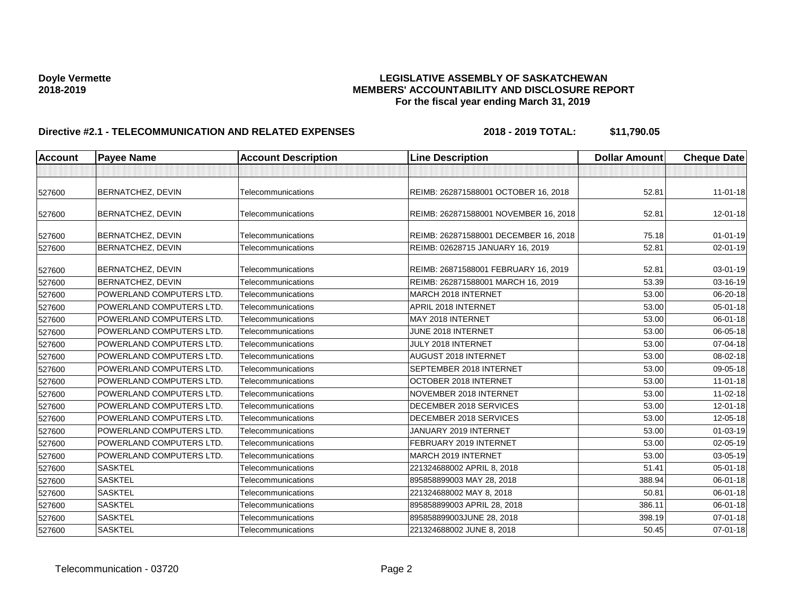| <b>Account</b> | <b>Payee Name</b>        | <b>Account Description</b> | <b>Line Description</b>               | <b>Dollar Amount</b> | <b>Cheque Date</b> |
|----------------|--------------------------|----------------------------|---------------------------------------|----------------------|--------------------|
|                |                          |                            |                                       |                      |                    |
| 527600         | <b>BERNATCHEZ, DEVIN</b> | Telecommunications         | REIMB: 262871588001 OCTOBER 16, 2018  | 52.81                | $11 - 01 - 18$     |
| 527600         | BERNATCHEZ, DEVIN        | Telecommunications         | REIMB: 262871588001 NOVEMBER 16, 2018 | 52.81                | $12 - 01 - 18$     |
| 527600         | BERNATCHEZ, DEVIN        | Telecommunications         | REIMB: 262871588001 DECEMBER 16, 2018 | 75.18                | $01 - 01 - 19$     |
| 527600         | BERNATCHEZ, DEVIN        | Telecommunications         | REIMB: 02628715 JANUARY 16, 2019      | 52.81                | 02-01-19           |
| 527600         | BERNATCHEZ, DEVIN        | Telecommunications         | REIMB: 26871588001 FEBRUARY 16, 2019  | 52.81                | 03-01-19           |
| 527600         | <b>BERNATCHEZ, DEVIN</b> | Telecommunications         | REIMB: 262871588001 MARCH 16, 2019    | 53.39                | 03-16-19           |
| 527600         | POWERLAND COMPUTERS LTD. | Telecommunications         | MARCH 2018 INTERNET                   | 53.00                | 06-20-18           |
| 527600         | POWERLAND COMPUTERS LTD. | Telecommunications         | APRIL 2018 INTERNET                   | 53.00                | 05-01-18           |
| 527600         | POWERLAND COMPUTERS LTD. | Telecommunications         | MAY 2018 INTERNET                     | 53.00                | 06-01-18           |
| 527600         | POWERLAND COMPUTERS LTD. | Telecommunications         | JUNE 2018 INTERNET                    | 53.00                | 06-05-18           |
| 527600         | POWERLAND COMPUTERS LTD. | Telecommunications         | JULY 2018 INTERNET                    | 53.00                | 07-04-18           |
| 527600         | POWERLAND COMPUTERS LTD. | Telecommunications         | <b>AUGUST 2018 INTERNET</b>           | 53.00                | 08-02-18           |
| 527600         | POWERLAND COMPUTERS LTD. | Telecommunications         | SEPTEMBER 2018 INTERNET               | 53.00                | 09-05-18           |
| 527600         | POWERLAND COMPUTERS LTD. | Telecommunications         | OCTOBER 2018 INTERNET                 | 53.00                | $11-01-18$         |
| 527600         | POWERLAND COMPUTERS LTD. | Telecommunications         | NOVEMBER 2018 INTERNET                | 53.00                | 11-02-18           |
| 527600         | POWERLAND COMPUTERS LTD. | Telecommunications         | DECEMBER 2018 SERVICES                | 53.00                | 12-01-18           |
| 527600         | POWERLAND COMPUTERS LTD. | Telecommunications         | DECEMBER 2018 SERVICES                | 53.00                | 12-05-18           |
| 527600         | POWERLAND COMPUTERS LTD. | Telecommunications         | JANUARY 2019 INTERNET                 | 53.00                | $01 - 03 - 19$     |
| 527600         | POWERLAND COMPUTERS LTD. | Telecommunications         | FEBRUARY 2019 INTERNET                | 53.00                | $02 - 05 - 19$     |
| 527600         | POWERLAND COMPUTERS LTD. | Telecommunications         | MARCH 2019 INTERNET                   | 53.00                | 03-05-19           |
| 527600         | <b>SASKTEL</b>           | Telecommunications         | 221324688002 APRIL 8, 2018            | 51.41                | 05-01-18           |
| 527600         | <b>SASKTEL</b>           | Telecommunications         | 895858899003 MAY 28, 2018             | 388.94               | 06-01-18           |
| 527600         | <b>SASKTEL</b>           | Telecommunications         | 221324688002 MAY 8, 2018              | 50.81                | 06-01-18           |
| 527600         | <b>SASKTEL</b>           | Telecommunications         | 895858899003 APRIL 28, 2018           | 386.11               | 06-01-18           |
| 527600         | <b>SASKTEL</b>           | Telecommunications         | 895858899003JUNE 28, 2018             | 398.19               | 07-01-18           |
| 527600         | <b>SASKTEL</b>           | Telecommunications         | 221324688002 JUNE 8, 2018             | 50.45                | $07 - 01 - 18$     |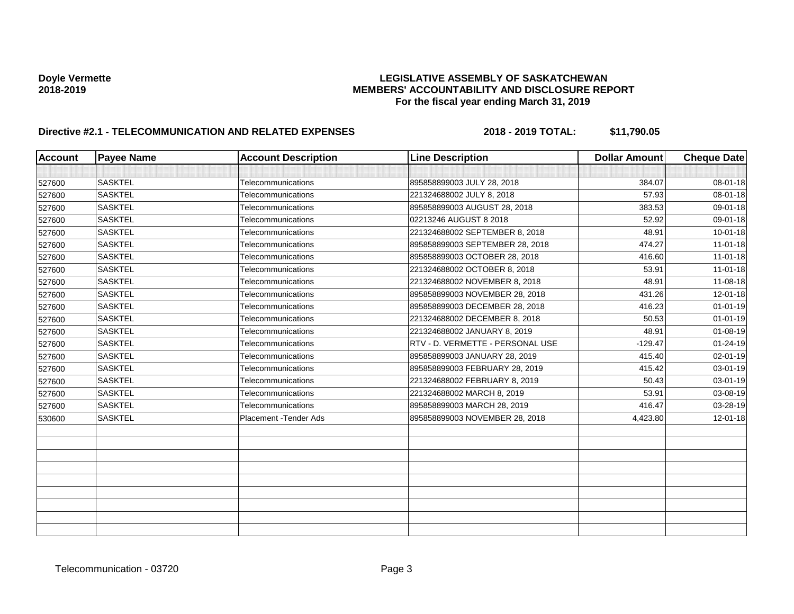| <b>Account</b> | <b>Payee Name</b> | <b>Account Description</b> | <b>Line Description</b>          | <b>Dollar Amount</b> | <b>Cheque Date</b> |
|----------------|-------------------|----------------------------|----------------------------------|----------------------|--------------------|
|                |                   |                            |                                  |                      |                    |
| 527600         | <b>SASKTEL</b>    | Telecommunications         | 895858899003 JULY 28, 2018       | 384.07               | 08-01-18           |
| 527600         | <b>SASKTEL</b>    | Telecommunications         | 221324688002 JULY 8, 2018        | 57.93                | $08 - 01 - 18$     |
| 527600         | <b>SASKTEL</b>    | Telecommunications         | 895858899003 AUGUST 28, 2018     | 383.53               | 09-01-18           |
| 527600         | <b>SASKTEL</b>    | Telecommunications         | 02213246 AUGUST 8 2018           | 52.92                | 09-01-18           |
| 527600         | <b>SASKTEL</b>    | Telecommunications         | 221324688002 SEPTEMBER 8, 2018   | 48.91                | $10 - 01 - 18$     |
| 527600         | <b>SASKTEL</b>    | Telecommunications         | 895858899003 SEPTEMBER 28, 2018  | 474.27               | $11-01-18$         |
| 527600         | <b>SASKTEL</b>    | Telecommunications         | 895858899003 OCTOBER 28, 2018    | 416.60               | $11-01-18$         |
| 527600         | <b>SASKTEL</b>    | Telecommunications         | 221324688002 OCTOBER 8, 2018     | 53.91                | $11-01-18$         |
| 527600         | <b>SASKTEL</b>    | Telecommunications         | 221324688002 NOVEMBER 8, 2018    | 48.91                | $11 - 08 - 18$     |
| 527600         | <b>SASKTEL</b>    | Telecommunications         | 895858899003 NOVEMBER 28, 2018   | 431.26               | $12 - 01 - 18$     |
| 527600         | <b>SASKTEL</b>    | Telecommunications         | 895858899003 DECEMBER 28, 2018   | 416.23               | $01 - 01 - 19$     |
| 527600         | <b>SASKTEL</b>    | Telecommunications         | 221324688002 DECEMBER 8, 2018    | 50.53                | $01 - 01 - 19$     |
| 527600         | <b>SASKTEL</b>    | Telecommunications         | 221324688002 JANUARY 8, 2019     | 48.91                | $01 - 08 - 19$     |
| 527600         | <b>SASKTEL</b>    | Telecommunications         | RTV - D. VERMETTE - PERSONAL USE | $-129.47$            | $01 - 24 - 19$     |
| 527600         | <b>SASKTEL</b>    | Telecommunications         | 895858899003 JANUARY 28, 2019    | 415.40               | 02-01-19           |
| 527600         | <b>SASKTEL</b>    | Telecommunications         | 895858899003 FEBRUARY 28, 2019   | 415.42               | 03-01-19           |
| 527600         | <b>SASKTEL</b>    | Telecommunications         | 221324688002 FEBRUARY 8, 2019    | 50.43                | 03-01-19           |
| 527600         | <b>SASKTEL</b>    | Telecommunications         | 221324688002 MARCH 8, 2019       | 53.91                | 03-08-19           |
| 527600         | <b>SASKTEL</b>    | Telecommunications         | 895858899003 MARCH 28, 2019      | 416.47               | 03-28-19           |
| 530600         | <b>SASKTEL</b>    | Placement - Tender Ads     | 895858899003 NOVEMBER 28, 2018   | 4,423.80             | 12-01-18           |
|                |                   |                            |                                  |                      |                    |
|                |                   |                            |                                  |                      |                    |
|                |                   |                            |                                  |                      |                    |
|                |                   |                            |                                  |                      |                    |
|                |                   |                            |                                  |                      |                    |
|                |                   |                            |                                  |                      |                    |
|                |                   |                            |                                  |                      |                    |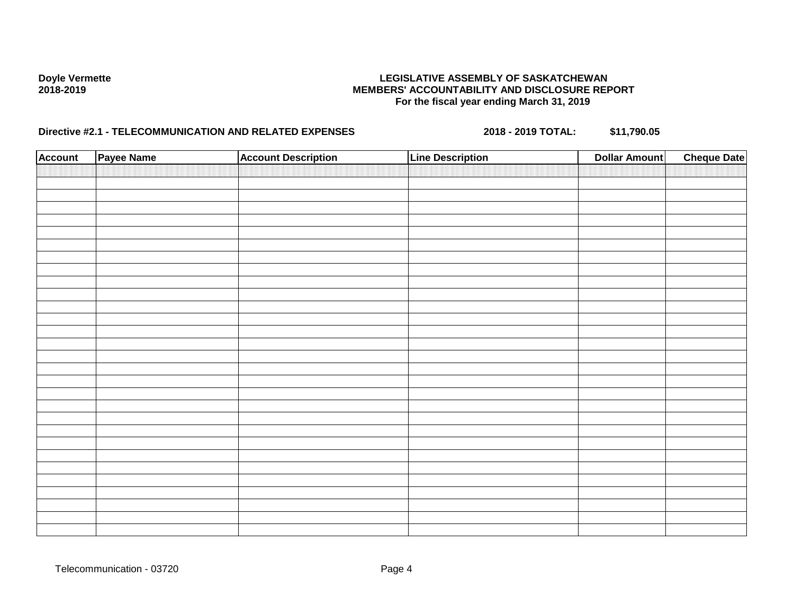| <b>Account</b> | Payee Name | <b>Account Description</b> | <b>Line Description</b> | <b>Dollar Amount</b> | <b>Cheque Date</b> |
|----------------|------------|----------------------------|-------------------------|----------------------|--------------------|
|                |            |                            |                         |                      |                    |
|                |            |                            |                         |                      |                    |
|                |            |                            |                         |                      |                    |
|                |            |                            |                         |                      |                    |
|                |            |                            |                         |                      |                    |
|                |            |                            |                         |                      |                    |
|                |            |                            |                         |                      |                    |
|                |            |                            |                         |                      |                    |
|                |            |                            |                         |                      |                    |
|                |            |                            |                         |                      |                    |
|                |            |                            |                         |                      |                    |
|                |            |                            |                         |                      |                    |
|                |            |                            |                         |                      |                    |
|                |            |                            |                         |                      |                    |
|                |            |                            |                         |                      |                    |
|                |            |                            |                         |                      |                    |
|                |            |                            |                         |                      |                    |
|                |            |                            |                         |                      |                    |
|                |            |                            |                         |                      |                    |
|                |            |                            |                         |                      |                    |
|                |            |                            |                         |                      |                    |
|                |            |                            |                         |                      |                    |
|                |            |                            |                         |                      |                    |
|                |            |                            |                         |                      |                    |
|                |            |                            |                         |                      |                    |
|                |            |                            |                         |                      |                    |
|                |            |                            |                         |                      |                    |
|                |            |                            |                         |                      |                    |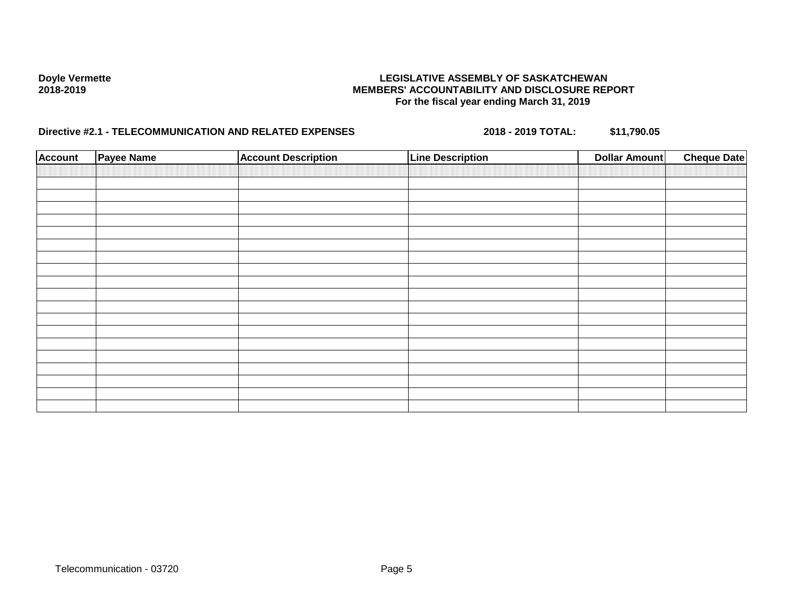| <b>Account</b> | Payee Name | <b>Account Description</b> | <b>Line Description</b> | <b>Dollar Amount</b> | <b>Cheque Date</b> |
|----------------|------------|----------------------------|-------------------------|----------------------|--------------------|
|                |            |                            |                         |                      |                    |
|                |            |                            |                         |                      |                    |
|                |            |                            |                         |                      |                    |
|                |            |                            |                         |                      |                    |
|                |            |                            |                         |                      |                    |
|                |            |                            |                         |                      |                    |
|                |            |                            |                         |                      |                    |
|                |            |                            |                         |                      |                    |
|                |            |                            |                         |                      |                    |
|                |            |                            |                         |                      |                    |
|                |            |                            |                         |                      |                    |
|                |            |                            |                         |                      |                    |
|                |            |                            |                         |                      |                    |
|                |            |                            |                         |                      |                    |
|                |            |                            |                         |                      |                    |
|                |            |                            |                         |                      |                    |
|                |            |                            |                         |                      |                    |
|                |            |                            |                         |                      |                    |
|                |            |                            |                         |                      |                    |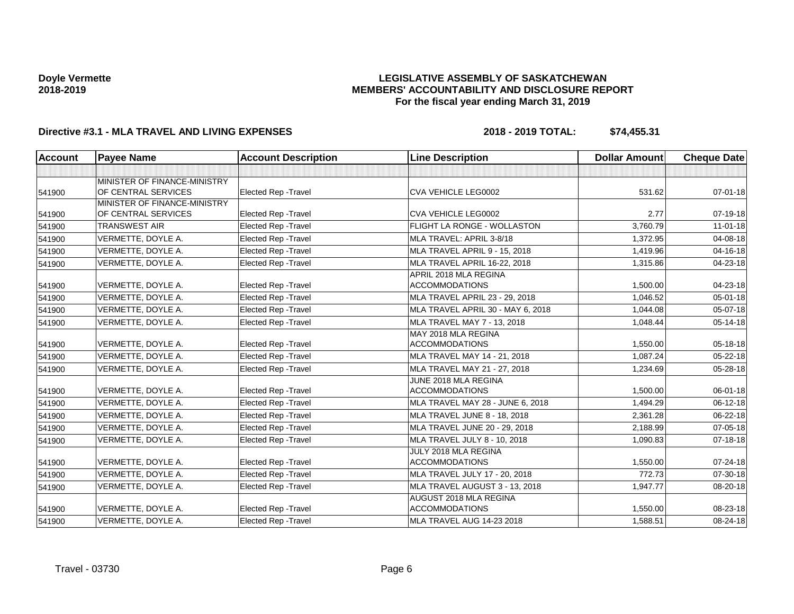## **LEGISLATIVE ASSEMBLY OF SASKATCHEWAN MEMBERS' ACCOUNTABILITY AND DISCLOSURE REPORT For the fiscal year ending March 31, 2019**

| <b>Account</b> | <b>Payee Name</b>            | <b>Account Description</b>  | <b>Line Description</b>           | <b>Dollar Amount</b> | <b>Cheque Date</b> |
|----------------|------------------------------|-----------------------------|-----------------------------------|----------------------|--------------------|
|                |                              |                             |                                   |                      |                    |
|                | MINISTER OF FINANCE-MINISTRY |                             |                                   |                      |                    |
| 541900         | OF CENTRAL SERVICES          | Elected Rep - Travel        | CVA VEHICLE LEG0002               | 531.62               | $07 - 01 - 18$     |
|                | MINISTER OF FINANCE-MINISTRY |                             |                                   |                      |                    |
| 541900         | OF CENTRAL SERVICES          | <b>Elected Rep - Travel</b> | <b>CVA VEHICLE LEG0002</b>        | 2.77                 | $07-19-18$         |
| 541900         | <b>TRANSWEST AIR</b>         | Elected Rep - Travel        | FLIGHT LA RONGE - WOLLASTON       | 3,760.79             | $11 - 01 - 18$     |
| 541900         | VERMETTE, DOYLE A.           | <b>Elected Rep - Travel</b> | MLA TRAVEL: APRIL 3-8/18          | 1,372.95             | 04-08-18           |
| 541900         | VERMETTE, DOYLE A.           | <b>Elected Rep - Travel</b> | MLA TRAVEL APRIL 9 - 15, 2018     | 1,419.96             | $04 - 16 - 18$     |
| 541900         | VERMETTE, DOYLE A.           | <b>Elected Rep - Travel</b> | MLA TRAVEL APRIL 16-22, 2018      | 1,315.86             | 04-23-18           |
|                |                              |                             | APRIL 2018 MLA REGINA             |                      |                    |
| 541900         | VERMETTE, DOYLE A.           | <b>Elected Rep - Travel</b> | <b>ACCOMMODATIONS</b>             | 1,500.00             | 04-23-18           |
| 541900         | VERMETTE, DOYLE A.           | <b>Elected Rep - Travel</b> | MLA TRAVEL APRIL 23 - 29, 2018    | 1,046.52             | $05 - 01 - 18$     |
| 541900         | VERMETTE, DOYLE A.           | <b>Elected Rep - Travel</b> | MLA TRAVEL APRIL 30 - MAY 6, 2018 | 1,044.08             | 05-07-18           |
| 541900         | VERMETTE, DOYLE A.           | <b>Elected Rep - Travel</b> | MLA TRAVEL MAY 7 - 13, 2018       | 1,048.44             | 05-14-18           |
|                |                              |                             | MAY 2018 MLA REGINA               |                      |                    |
| 541900         | VERMETTE, DOYLE A.           | <b>Elected Rep - Travel</b> | <b>ACCOMMODATIONS</b>             | 1,550.00             | 05-18-18           |
| 541900         | VERMETTE, DOYLE A.           | <b>Elected Rep - Travel</b> | MLA TRAVEL MAY 14 - 21, 2018      | 1,087.24             | $05 - 22 - 18$     |
| 541900         | VERMETTE, DOYLE A.           | <b>Elected Rep - Travel</b> | MLA TRAVEL MAY 21 - 27, 2018      | 1,234.69             | 05-28-18           |
|                |                              |                             | JUNE 2018 MLA REGINA              |                      |                    |
| 541900         | VERMETTE, DOYLE A.           | <b>Elected Rep - Travel</b> | <b>ACCOMMODATIONS</b>             | 1,500.00             | $06 - 01 - 18$     |
| 541900         | VERMETTE, DOYLE A.           | <b>Elected Rep - Travel</b> | MLA TRAVEL MAY 28 - JUNE 6, 2018  | 1,494.29             | $06-12-18$         |
| 541900         | VERMETTE, DOYLE A.           | <b>Elected Rep - Travel</b> | MLA TRAVEL JUNE 8 - 18, 2018      | 2,361.28             | 06-22-18           |
| 541900         | VERMETTE, DOYLE A.           | <b>Elected Rep - Travel</b> | MLA TRAVEL JUNE 20 - 29, 2018     | 2,188.99             | 07-05-18           |
| 541900         | VERMETTE, DOYLE A.           | Elected Rep - Travel        | MLA TRAVEL JULY 8 - 10, 2018      | 1,090.83             | $07 - 18 - 18$     |
|                |                              |                             | JULY 2018 MLA REGINA              |                      |                    |
| 541900         | VERMETTE, DOYLE A.           | <b>Elected Rep - Travel</b> | <b>ACCOMMODATIONS</b>             | 1,550.00             | 07-24-18           |
| 541900         | VERMETTE, DOYLE A.           | <b>Elected Rep - Travel</b> | MLA TRAVEL JULY 17 - 20, 2018     | 772.73               | 07-30-18           |
| 541900         | VERMETTE, DOYLE A.           | <b>Elected Rep - Travel</b> | MLA TRAVEL AUGUST 3 - 13, 2018    | 1.947.77             | 08-20-18           |
|                |                              |                             | AUGUST 2018 MLA REGINA            |                      |                    |
| 541900         | VERMETTE, DOYLE A.           | <b>Elected Rep - Travel</b> | <b>ACCOMMODATIONS</b>             | 1,550.00             | 08-23-18           |
| 541900         | VERMETTE, DOYLE A.           | <b>Elected Rep - Travel</b> | MLA TRAVEL AUG 14-23 2018         | 1,588.51             | 08-24-18           |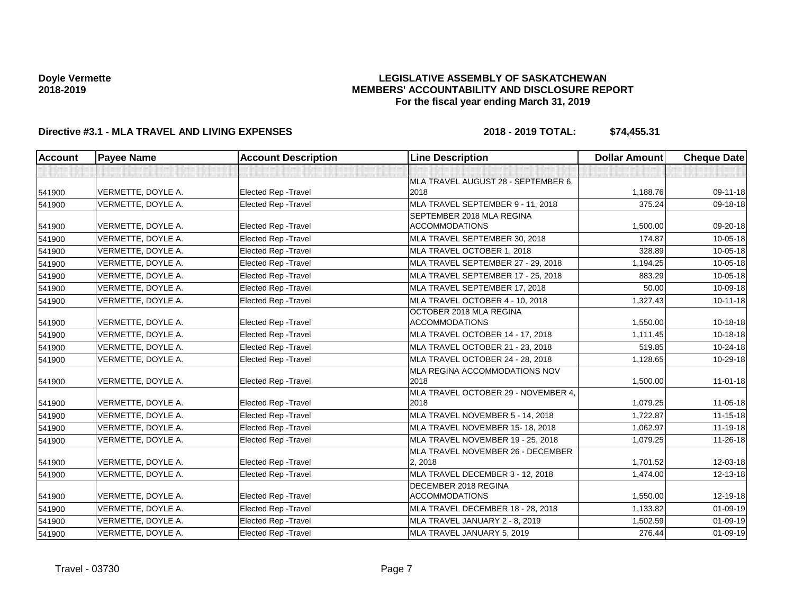## **LEGISLATIVE ASSEMBLY OF SASKATCHEWAN MEMBERS' ACCOUNTABILITY AND DISCLOSURE REPORT For the fiscal year ending March 31, 2019**

| <b>Account</b> | <b>Payee Name</b>  | <b>Account Description</b>  | <b>Line Description</b>             | <b>Dollar Amount</b> | <b>Cheque Date</b> |
|----------------|--------------------|-----------------------------|-------------------------------------|----------------------|--------------------|
|                |                    |                             |                                     |                      |                    |
|                |                    |                             | MLA TRAVEL AUGUST 28 - SEPTEMBER 6, |                      |                    |
| 541900         | VERMETTE, DOYLE A. | <b>Elected Rep - Travel</b> | 2018                                | 1,188.76             | 09-11-18           |
| 541900         | VERMETTE, DOYLE A. | Elected Rep - Travel        | MLA TRAVEL SEPTEMBER 9 - 11, 2018   | 375.24               | 09-18-18           |
|                |                    |                             | SEPTEMBER 2018 MLA REGINA           |                      |                    |
| 541900         | VERMETTE, DOYLE A. | <b>Elected Rep - Travel</b> | <b>ACCOMMODATIONS</b>               | 1,500.00             | 09-20-18           |
| 541900         | VERMETTE, DOYLE A. | <b>Elected Rep - Travel</b> | MLA TRAVEL SEPTEMBER 30, 2018       | 174.87               | 10-05-18           |
| 541900         | VERMETTE, DOYLE A. | Elected Rep - Travel        | MLA TRAVEL OCTOBER 1, 2018          | 328.89               | 10-05-18           |
| 541900         | VERMETTE, DOYLE A. | Elected Rep - Travel        | MLA TRAVEL SEPTEMBER 27 - 29, 2018  | 1,194.25             | 10-05-18           |
| 541900         | VERMETTE, DOYLE A. | <b>Elected Rep - Travel</b> | MLA TRAVEL SEPTEMBER 17 - 25, 2018  | 883.29               | 10-05-18           |
| 541900         | VERMETTE, DOYLE A. | <b>Elected Rep - Travel</b> | MLA TRAVEL SEPTEMBER 17, 2018       | 50.00                | 10-09-18           |
| 541900         | VERMETTE, DOYLE A. | <b>Elected Rep - Travel</b> | MLA TRAVEL OCTOBER 4 - 10, 2018     | 1,327.43             | $10 - 11 - 18$     |
|                |                    |                             | OCTOBER 2018 MLA REGINA             |                      |                    |
| 541900         | VERMETTE, DOYLE A. | Elected Rep - Travel        | <b>ACCOMMODATIONS</b>               | 1,550.00             | 10-18-18           |
| 541900         | VERMETTE, DOYLE A. | <b>Elected Rep - Travel</b> | MLA TRAVEL OCTOBER 14 - 17, 2018    | 1,111.45             | 10-18-18           |
| 541900         | VERMETTE, DOYLE A. | <b>Elected Rep - Travel</b> | MLA TRAVEL OCTOBER 21 - 23, 2018    | 519.85               | 10-24-18           |
| 541900         | VERMETTE, DOYLE A. | <b>Elected Rep - Travel</b> | MLA TRAVEL OCTOBER 24 - 28, 2018    | 1,128.65             | 10-29-18           |
|                |                    |                             | MLA REGINA ACCOMMODATIONS NOV       |                      |                    |
| 541900         | VERMETTE, DOYLE A. | <b>Elected Rep - Travel</b> | 2018                                | 1,500.00             | $11 - 01 - 18$     |
|                |                    |                             | MLA TRAVEL OCTOBER 29 - NOVEMBER 4, |                      |                    |
| 541900         | VERMETTE, DOYLE A. | <b>Elected Rep - Travel</b> | 2018                                | 1,079.25             | 11-05-18           |
| 541900         | VERMETTE, DOYLE A. | <b>Elected Rep - Travel</b> | MLA TRAVEL NOVEMBER 5 - 14, 2018    | 1,722.87             | $11 - 15 - 18$     |
| 541900         | VERMETTE, DOYLE A. | <b>Elected Rep - Travel</b> | MLA TRAVEL NOVEMBER 15-18, 2018     | 1.062.97             | 11-19-18           |
| 541900         | VERMETTE, DOYLE A. | <b>Elected Rep - Travel</b> | MLA TRAVEL NOVEMBER 19 - 25, 2018   | 1,079.25             | 11-26-18           |
|                |                    |                             | MLA TRAVEL NOVEMBER 26 - DECEMBER   |                      |                    |
| 541900         | VERMETTE, DOYLE A. | Elected Rep - Travel        | 2, 2018                             | 1,701.52             | 12-03-18           |
| 541900         | VERMETTE, DOYLE A. | Elected Rep - Travel        | MLA TRAVEL DECEMBER 3 - 12, 2018    | 1,474.00             | 12-13-18           |
|                |                    |                             | DECEMBER 2018 REGINA                |                      |                    |
| 541900         | VERMETTE, DOYLE A. | <b>Elected Rep - Travel</b> | <b>ACCOMMODATIONS</b>               | 1,550.00             | 12-19-18           |
| 541900         | VERMETTE, DOYLE A. | Elected Rep - Travel        | MLA TRAVEL DECEMBER 18 - 28, 2018   | 1,133.82             | $01 - 09 - 19$     |
| 541900         | VERMETTE, DOYLE A. | Elected Rep - Travel        | MLA TRAVEL JANUARY 2 - 8, 2019      | 1,502.59             | $01 - 09 - 19$     |
| 541900         | VERMETTE, DOYLE A. | <b>Elected Rep - Travel</b> | MLA TRAVEL JANUARY 5, 2019          | 276.44               | $01 - 09 - 19$     |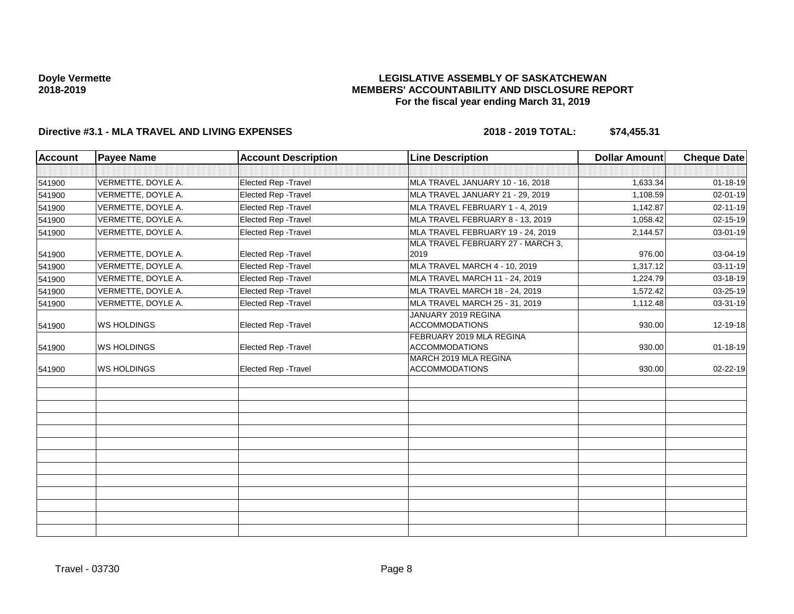## **LEGISLATIVE ASSEMBLY OF SASKATCHEWAN MEMBERS' ACCOUNTABILITY AND DISCLOSURE REPORT For the fiscal year ending March 31, 2019**

| <b>Account</b> | <b>Payee Name</b>  | <b>Account Description</b>  | <b>Line Description</b>                           | <b>Dollar Amount</b> | <b>Cheque Date</b> |
|----------------|--------------------|-----------------------------|---------------------------------------------------|----------------------|--------------------|
|                |                    |                             |                                                   |                      |                    |
| 541900         | VERMETTE, DOYLE A. | Elected Rep - Travel        | MLA TRAVEL JANUARY 10 - 16, 2018                  | 1,633.34             | $01 - 18 - 19$     |
| 541900         | VERMETTE, DOYLE A. | Elected Rep - Travel        | MLA TRAVEL JANUARY 21 - 29, 2019                  | 1,108.59             | 02-01-19           |
| 541900         | VERMETTE, DOYLE A. | Elected Rep - Travel        | MLA TRAVEL FEBRUARY 1 - 4, 2019                   | 1,142.87             | 02-11-19           |
| 541900         | VERMETTE, DOYLE A. | <b>Elected Rep - Travel</b> | MLA TRAVEL FEBRUARY 8 - 13, 2019                  | 1,058.42             | 02-15-19           |
| 541900         | VERMETTE, DOYLE A. | Elected Rep - Travel        | MLA TRAVEL FEBRUARY 19 - 24, 2019                 | 2,144.57             | 03-01-19           |
| 541900         | VERMETTE, DOYLE A. | Elected Rep - Travel        | MLA TRAVEL FEBRUARY 27 - MARCH 3,<br>2019         | 976.00               | 03-04-19           |
| 541900         | VERMETTE, DOYLE A. | <b>Elected Rep - Travel</b> | MLA TRAVEL MARCH 4 - 10, 2019                     | 1,317.12             | 03-11-19           |
| 541900         | VERMETTE, DOYLE A. | Elected Rep - Travel        | MLA TRAVEL MARCH 11 - 24, 2019                    | 1,224.79             | 03-18-19           |
| 541900         | VERMETTE, DOYLE A. | <b>Elected Rep - Travel</b> | MLA TRAVEL MARCH 18 - 24, 2019                    | 1,572.42             | 03-25-19           |
| 541900         | VERMETTE, DOYLE A. | Elected Rep - Travel        | MLA TRAVEL MARCH 25 - 31, 2019                    | 1,112.48             | 03-31-19           |
| 541900         | <b>WS HOLDINGS</b> | Elected Rep - Travel        | JANUARY 2019 REGINA<br><b>ACCOMMODATIONS</b>      | 930.00               | 12-19-18           |
| 541900         | <b>WS HOLDINGS</b> | <b>Elected Rep - Travel</b> | FEBRUARY 2019 MLA REGINA<br><b>ACCOMMODATIONS</b> | 930.00               | $01 - 18 - 19$     |
| 541900         | <b>WS HOLDINGS</b> | <b>Elected Rep - Travel</b> | MARCH 2019 MLA REGINA<br><b>ACCOMMODATIONS</b>    | 930.00               | 02-22-19           |
|                |                    |                             |                                                   |                      |                    |
|                |                    |                             |                                                   |                      |                    |
|                |                    |                             |                                                   |                      |                    |
|                |                    |                             |                                                   |                      |                    |
|                |                    |                             |                                                   |                      |                    |
|                |                    |                             |                                                   |                      |                    |
|                |                    |                             |                                                   |                      |                    |
|                |                    |                             |                                                   |                      |                    |
|                |                    |                             |                                                   |                      |                    |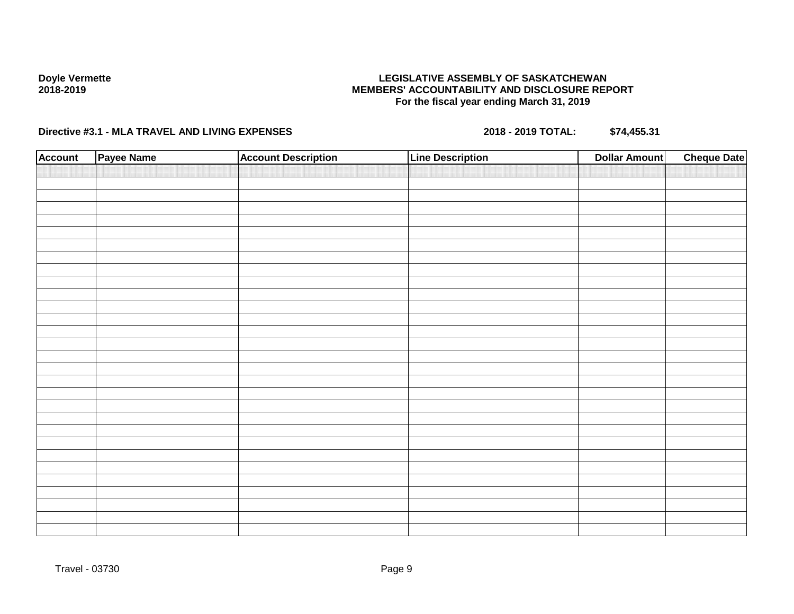## **LEGISLATIVE ASSEMBLY OF SASKATCHEWAN MEMBERS' ACCOUNTABILITY AND DISCLOSURE REPORT For the fiscal year ending March 31, 2019**

| <b>Account</b> | Payee Name | <b>Account Description</b> | <b>Line Description</b> | <b>Dollar Amount</b> | <b>Cheque Date</b> |
|----------------|------------|----------------------------|-------------------------|----------------------|--------------------|
|                |            |                            |                         |                      |                    |
|                |            |                            |                         |                      |                    |
|                |            |                            |                         |                      |                    |
|                |            |                            |                         |                      |                    |
|                |            |                            |                         |                      |                    |
|                |            |                            |                         |                      |                    |
|                |            |                            |                         |                      |                    |
|                |            |                            |                         |                      |                    |
|                |            |                            |                         |                      |                    |
|                |            |                            |                         |                      |                    |
|                |            |                            |                         |                      |                    |
|                |            |                            |                         |                      |                    |
|                |            |                            |                         |                      |                    |
|                |            |                            |                         |                      |                    |
|                |            |                            |                         |                      |                    |
|                |            |                            |                         |                      |                    |
|                |            |                            |                         |                      |                    |
|                |            |                            |                         |                      |                    |
|                |            |                            |                         |                      |                    |
|                |            |                            |                         |                      |                    |
|                |            |                            |                         |                      |                    |
|                |            |                            |                         |                      |                    |
|                |            |                            |                         |                      |                    |
|                |            |                            |                         |                      |                    |
|                |            |                            |                         |                      |                    |
|                |            |                            |                         |                      |                    |
|                |            |                            |                         |                      |                    |
|                |            |                            |                         |                      |                    |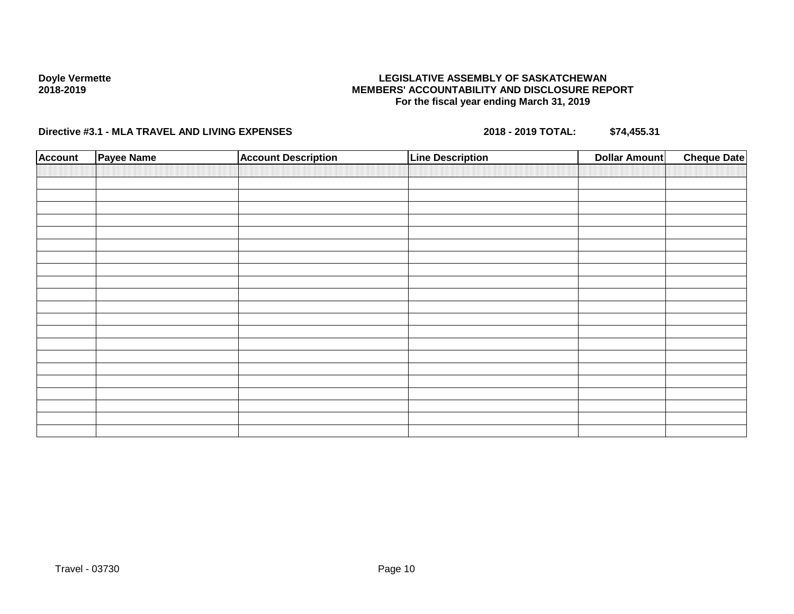## **LEGISLATIVE ASSEMBLY OF SASKATCHEWAN MEMBERS' ACCOUNTABILITY AND DISCLOSURE REPORT For the fiscal year ending March 31, 2019**

| <b>Account</b> | Payee Name | <b>Account Description</b> | <b>Line Description</b> | Dollar Amount | <b>Cheque Date</b> |
|----------------|------------|----------------------------|-------------------------|---------------|--------------------|
|                |            |                            |                         |               |                    |
|                |            |                            |                         |               |                    |
|                |            |                            |                         |               |                    |
|                |            |                            |                         |               |                    |
|                |            |                            |                         |               |                    |
|                |            |                            |                         |               |                    |
|                |            |                            |                         |               |                    |
|                |            |                            |                         |               |                    |
|                |            |                            |                         |               |                    |
|                |            |                            |                         |               |                    |
|                |            |                            |                         |               |                    |
|                |            |                            |                         |               |                    |
|                |            |                            |                         |               |                    |
|                |            |                            |                         |               |                    |
|                |            |                            |                         |               |                    |
|                |            |                            |                         |               |                    |
|                |            |                            |                         |               |                    |
|                |            |                            |                         |               |                    |
|                |            |                            |                         |               |                    |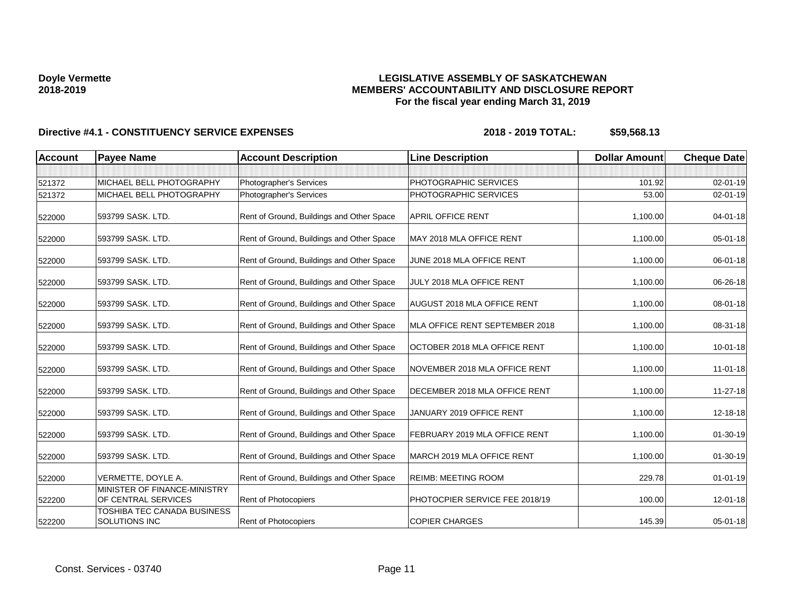## **LEGISLATIVE ASSEMBLY OF SASKATCHEWAN MEMBERS' ACCOUNTABILITY AND DISCLOSURE REPORT For the fiscal year ending March 31, 2019**

| <b>Account</b> | <b>Payee Name</b>                                   | <b>Account Description</b>                | <b>Line Description</b>            | <b>Dollar Amount</b> | <b>Cheque Date</b> |
|----------------|-----------------------------------------------------|-------------------------------------------|------------------------------------|----------------------|--------------------|
|                |                                                     |                                           |                                    |                      |                    |
| 521372         | MICHAEL BELL PHOTOGRAPHY                            | Photographer's Services                   | PHOTOGRAPHIC SERVICES              | 101.92               | $02 - 01 - 19$     |
| 521372         | MICHAEL BELL PHOTOGRAPHY                            | Photographer's Services                   | PHOTOGRAPHIC SERVICES              | 53.00                | $02 - 01 - 19$     |
| 522000         | 593799 SASK, LTD.                                   | Rent of Ground, Buildings and Other Space | <b>APRIL OFFICE RENT</b>           | 1,100.00             | $04 - 01 - 18$     |
| 522000         | 593799 SASK, LTD.                                   | Rent of Ground, Buildings and Other Space | MAY 2018 MLA OFFICE RENT           | 1,100.00             | 05-01-18           |
| 522000         | 593799 SASK. LTD.                                   | Rent of Ground, Buildings and Other Space | JUNE 2018 MLA OFFICE RENT          | 1,100.00             | 06-01-18           |
| 522000         | 593799 SASK, LTD.                                   | Rent of Ground, Buildings and Other Space | JULY 2018 MLA OFFICE RENT          | 1,100.00             | 06-26-18           |
| 522000         | 593799 SASK. LTD.                                   | Rent of Ground, Buildings and Other Space | <b>AUGUST 2018 MLA OFFICE RENT</b> | 1,100.00             | 08-01-18           |
| 522000         | 593799 SASK. LTD.                                   | Rent of Ground, Buildings and Other Space | MLA OFFICE RENT SEPTEMBER 2018     | 1,100.00             | 08-31-18           |
| 522000         | 593799 SASK, LTD.                                   | Rent of Ground, Buildings and Other Space | OCTOBER 2018 MLA OFFICE RENT       | 1,100.00             | $10 - 01 - 18$     |
| 522000         | 593799 SASK. LTD.                                   | Rent of Ground, Buildings and Other Space | NOVEMBER 2018 MLA OFFICE RENT      | 1,100.00             | 11-01-18           |
| 522000         | 593799 SASK. LTD.                                   | Rent of Ground, Buildings and Other Space | DECEMBER 2018 MLA OFFICE RENT      | 1,100.00             | 11-27-18           |
| 522000         | 593799 SASK. LTD.                                   | Rent of Ground, Buildings and Other Space | JANUARY 2019 OFFICE RENT           | 1,100.00             | 12-18-18           |
| 522000         | 593799 SASK. LTD.                                   | Rent of Ground, Buildings and Other Space | FEBRUARY 2019 MLA OFFICE RENT      | 1,100.00             | 01-30-19           |
| 522000         | 593799 SASK. LTD.                                   | Rent of Ground, Buildings and Other Space | MARCH 2019 MLA OFFICE RENT         | 1,100.00             | 01-30-19           |
| 522000         | VERMETTE, DOYLE A.                                  | Rent of Ground, Buildings and Other Space | <b>REIMB: MEETING ROOM</b>         | 229.78               | $01 - 01 - 19$     |
| 522200         | MINISTER OF FINANCE-MINISTRY<br>OF CENTRAL SERVICES | <b>Rent of Photocopiers</b>               | PHOTOCPIER SERVICE FEE 2018/19     | 100.00               | 12-01-18           |
| 522200         | TOSHIBA TEC CANADA BUSINESS<br>SOLUTIONS INC        | Rent of Photocopiers                      | <b>COPIER CHARGES</b>              | 145.39               | 05-01-18           |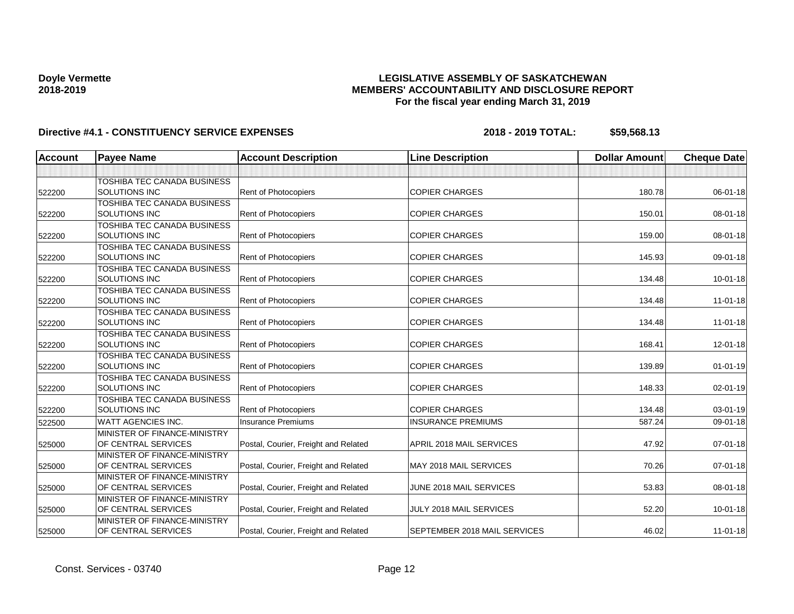## **LEGISLATIVE ASSEMBLY OF SASKATCHEWAN MEMBERS' ACCOUNTABILITY AND DISCLOSURE REPORT For the fiscal year ending March 31, 2019**

| <b>Account</b> | <b>Payee Name</b>                  | <b>Account Description</b>           | <b>Line Description</b>      | <b>Dollar Amount</b> | <b>Cheque Date</b> |
|----------------|------------------------------------|--------------------------------------|------------------------------|----------------------|--------------------|
|                |                                    |                                      |                              |                      |                    |
|                | TOSHIBA TEC CANADA BUSINESS        |                                      |                              |                      |                    |
| 522200         | SOLUTIONS INC                      | Rent of Photocopiers                 | <b>COPIER CHARGES</b>        | 180.78               | 06-01-18           |
|                | <b>TOSHIBA TEC CANADA BUSINESS</b> |                                      |                              |                      |                    |
| 522200         | <b>SOLUTIONS INC</b>               | Rent of Photocopiers                 | <b>COPIER CHARGES</b>        | 150.01               | 08-01-18           |
|                | TOSHIBA TEC CANADA BUSINESS        |                                      |                              |                      |                    |
| 522200         | <b>SOLUTIONS INC</b>               | Rent of Photocopiers                 | <b>COPIER CHARGES</b>        | 159.00               | 08-01-18           |
|                | TOSHIBA TEC CANADA BUSINESS        |                                      |                              |                      |                    |
| 522200         | <b>SOLUTIONS INC</b>               | Rent of Photocopiers                 | <b>COPIER CHARGES</b>        | 145.93               | 09-01-18           |
|                | TOSHIBA TEC CANADA BUSINESS        |                                      |                              |                      |                    |
| 522200         | <b>SOLUTIONS INC</b>               | <b>Rent of Photocopiers</b>          | <b>COPIER CHARGES</b>        | 134.48               | $10 - 01 - 18$     |
|                | TOSHIBA TEC CANADA BUSINESS        |                                      |                              |                      |                    |
| 522200         | <b>SOLUTIONS INC</b>               | Rent of Photocopiers                 | <b>COPIER CHARGES</b>        | 134.48               | $11 - 01 - 18$     |
|                | <b>TOSHIBA TEC CANADA BUSINESS</b> |                                      |                              |                      |                    |
| 522200         | <b>SOLUTIONS INC</b>               | Rent of Photocopiers                 | <b>COPIER CHARGES</b>        | 134.48               | $11 - 01 - 18$     |
|                | TOSHIBA TEC CANADA BUSINESS        |                                      |                              |                      |                    |
| 522200         | SOLUTIONS INC                      | Rent of Photocopiers                 | <b>COPIER CHARGES</b>        | 168.41               | $12 - 01 - 18$     |
|                | TOSHIBA TEC CANADA BUSINESS        |                                      |                              |                      |                    |
| 522200         | <b>SOLUTIONS INC</b>               | <b>Rent of Photocopiers</b>          | <b>COPIER CHARGES</b>        | 139.89               | $01 - 01 - 19$     |
|                | TOSHIBA TEC CANADA BUSINESS        |                                      |                              |                      |                    |
| 522200         | SOLUTIONS INC                      | Rent of Photocopiers                 | <b>COPIER CHARGES</b>        | 148.33               | 02-01-19           |
|                | TOSHIBA TEC CANADA BUSINESS        |                                      |                              |                      |                    |
| 522200         | <b>SOLUTIONS INC</b>               | <b>Rent of Photocopiers</b>          | <b>COPIER CHARGES</b>        | 134.48               | 03-01-19           |
| 522500         | <b>WATT AGENCIES INC.</b>          | <b>Insurance Premiums</b>            | <b>INSURANCE PREMIUMS</b>    | 587.24               | 09-01-18           |
|                | MINISTER OF FINANCE-MINISTRY       |                                      |                              |                      |                    |
| 525000         | OF CENTRAL SERVICES                | Postal, Courier, Freight and Related | APRIL 2018 MAIL SERVICES     | 47.92                | $07 - 01 - 18$     |
|                | MINISTER OF FINANCE-MINISTRY       |                                      |                              |                      |                    |
| 525000         | OF CENTRAL SERVICES                | Postal, Courier, Freight and Related | MAY 2018 MAIL SERVICES       | 70.26                | 07-01-18           |
|                | MINISTER OF FINANCE-MINISTRY       |                                      |                              |                      |                    |
| 525000         | OF CENTRAL SERVICES                | Postal, Courier, Freight and Related | JUNE 2018 MAIL SERVICES      | 53.83                | 08-01-18           |
|                | MINISTER OF FINANCE-MINISTRY       |                                      |                              |                      |                    |
| 525000         | OF CENTRAL SERVICES                | Postal, Courier, Freight and Related | JULY 2018 MAIL SERVICES      | 52.20                | $10 - 01 - 18$     |
|                | MINISTER OF FINANCE-MINISTRY       |                                      |                              |                      |                    |
| 525000         | OF CENTRAL SERVICES                | Postal, Courier, Freight and Related | SEPTEMBER 2018 MAIL SERVICES | 46.02                | $11 - 01 - 18$     |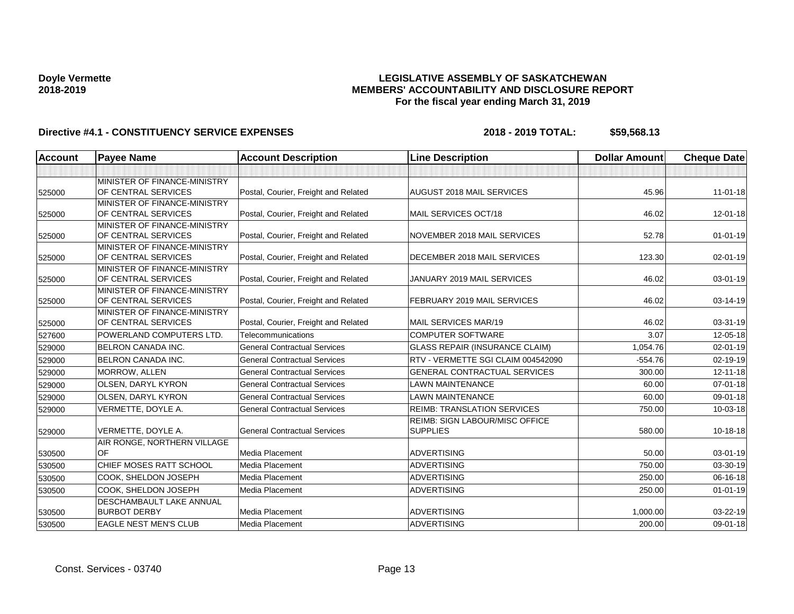## **LEGISLATIVE ASSEMBLY OF SASKATCHEWAN MEMBERS' ACCOUNTABILITY AND DISCLOSURE REPORT For the fiscal year ending March 31, 2019**

| Account | <b>Payee Name</b>               | <b>Account Description</b>           | <b>Line Description</b>               | <b>Dollar Amount</b> | <b>Cheque Date</b> |
|---------|---------------------------------|--------------------------------------|---------------------------------------|----------------------|--------------------|
|         |                                 |                                      |                                       |                      |                    |
|         | MINISTER OF FINANCE-MINISTRY    |                                      |                                       |                      |                    |
| 525000  | OF CENTRAL SERVICES             | Postal, Courier, Freight and Related | AUGUST 2018 MAIL SERVICES             | 45.96                | $11 - 01 - 18$     |
|         | MINISTER OF FINANCE-MINISTRY    |                                      |                                       |                      |                    |
| 525000  | OF CENTRAL SERVICES             | Postal, Courier, Freight and Related | MAIL SERVICES OCT/18                  | 46.02                | $12 - 01 - 18$     |
|         | MINISTER OF FINANCE-MINISTRY    |                                      |                                       |                      |                    |
| 525000  | OF CENTRAL SERVICES             | Postal, Courier, Freight and Related | NOVEMBER 2018 MAIL SERVICES           | 52.78                | $01 - 01 - 19$     |
|         | MINISTER OF FINANCE-MINISTRY    |                                      |                                       |                      |                    |
| 525000  | OF CENTRAL SERVICES             | Postal, Courier, Freight and Related | DECEMBER 2018 MAIL SERVICES           | 123.30               | 02-01-19           |
|         | MINISTER OF FINANCE-MINISTRY    |                                      |                                       |                      |                    |
| 525000  | OF CENTRAL SERVICES             | Postal, Courier, Freight and Related | JANUARY 2019 MAIL SERVICES            | 46.02                | 03-01-19           |
|         | MINISTER OF FINANCE-MINISTRY    |                                      |                                       |                      |                    |
| 525000  | OF CENTRAL SERVICES             | Postal, Courier, Freight and Related | FEBRUARY 2019 MAIL SERVICES           | 46.02                | 03-14-19           |
|         | MINISTER OF FINANCE-MINISTRY    |                                      |                                       |                      |                    |
| 525000  | OF CENTRAL SERVICES             | Postal, Courier, Freight and Related | MAIL SERVICES MAR/19                  | 46.02                | 03-31-19           |
| 527600  | <b>POWERLAND COMPUTERS LTD.</b> | Telecommunications                   | <b>COMPUTER SOFTWARE</b>              | 3.07                 | 12-05-18           |
| 529000  | <b>BELRON CANADA INC.</b>       | <b>General Contractual Services</b>  | <b>GLASS REPAIR (INSURANCE CLAIM)</b> | 1,054.76             | $02 - 01 - 19$     |
| 529000  | <b>BELRON CANADA INC.</b>       | <b>General Contractual Services</b>  | RTV - VERMETTE SGI CLAIM 004542090    | $-554.76$            | 02-19-19           |
| 529000  | MORROW, ALLEN                   | <b>General Contractual Services</b>  | GENERAL CONTRACTUAL SERVICES          | 300.00               | $12 - 11 - 18$     |
| 529000  | OLSEN, DARYL KYRON              | <b>General Contractual Services</b>  | <b>LAWN MAINTENANCE</b>               | 60.00                | $07 - 01 - 18$     |
| 529000  | <b>OLSEN, DARYL KYRON</b>       | <b>General Contractual Services</b>  | <b>LAWN MAINTENANCE</b>               | 60.00                | $09 - 01 - 18$     |
| 529000  | VERMETTE, DOYLE A.              | <b>General Contractual Services</b>  | <b>REIMB: TRANSLATION SERVICES</b>    | 750.00               | 10-03-18           |
|         |                                 |                                      | REIMB: SIGN LABOUR/MISC OFFICE        |                      |                    |
| 529000  | VERMETTE, DOYLE A.              | <b>General Contractual Services</b>  | <b>SUPPLIES</b>                       | 580.00               | $10-18-18$         |
|         | AIR RONGE, NORTHERN VILLAGE     |                                      |                                       |                      |                    |
| 530500  | OF                              | Media Placement                      | <b>ADVERTISING</b>                    | 50.00                | 03-01-19           |
| 530500  | CHIEF MOSES RATT SCHOOL         | Media Placement                      | <b>ADVERTISING</b>                    | 750.00               | 03-30-19           |
| 530500  | COOK, SHELDON JOSEPH            | <b>Media Placement</b>               | <b>ADVERTISING</b>                    | 250.00               | 06-16-18           |
| 530500  | COOK. SHELDON JOSEPH            | <b>Media Placement</b>               | <b>ADVERTISING</b>                    | 250.00               | $01 - 01 - 19$     |
|         | <b>DESCHAMBAULT LAKE ANNUAL</b> |                                      |                                       |                      |                    |
| 530500  | <b>BURBOT DERBY</b>             | <b>Media Placement</b>               | <b>ADVERTISING</b>                    | 1,000.00             | 03-22-19           |
| 530500  | <b>EAGLE NEST MEN'S CLUB</b>    | <b>Media Placement</b>               | <b>ADVERTISING</b>                    | 200.00               | 09-01-18           |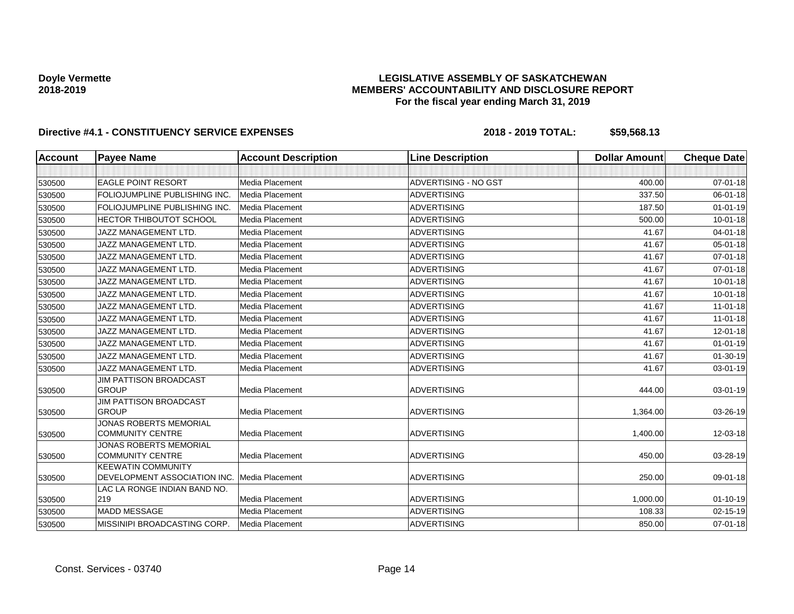## **LEGISLATIVE ASSEMBLY OF SASKATCHEWAN MEMBERS' ACCOUNTABILITY AND DISCLOSURE REPORT For the fiscal year ending March 31, 2019**

| <b>Account</b> | <b>Payee Name</b>                                         | <b>Account Description</b> | <b>Line Description</b> | <b>Dollar Amount</b> | <b>Cheque Date</b> |
|----------------|-----------------------------------------------------------|----------------------------|-------------------------|----------------------|--------------------|
|                |                                                           |                            |                         |                      |                    |
| 530500         | <b>EAGLE POINT RESORT</b>                                 | Media Placement            | ADVERTISING - NO GST    | 400.00               | $07 - 01 - 18$     |
| 530500         | FOLIOJUMPLINE PUBLISHING INC                              | Media Placement            | <b>ADVERTISING</b>      | 337.50               | 06-01-18           |
| 530500         | FOLIOJUMPLINE PUBLISHING INC.                             | Media Placement            | <b>ADVERTISING</b>      | 187.50               | $01 - 01 - 19$     |
| 530500         | <b>HECTOR THIBOUTOT SCHOOL</b>                            | Media Placement            | <b>ADVERTISING</b>      | 500.00               | $10 - 01 - 18$     |
| 530500         | JAZZ MANAGEMENT LTD.                                      | Media Placement            | ADVERTISING             | 41.67                | $04 - 01 - 18$     |
| 530500         | JAZZ MANAGEMENT LTD.                                      | Media Placement            | <b>ADVERTISING</b>      | 41.67                | 05-01-18           |
| 530500         | JAZZ MANAGEMENT LTD.                                      | Media Placement            | <b>ADVERTISING</b>      | 41.67                | 07-01-18           |
| 530500         | JAZZ MANAGEMENT LTD.                                      | Media Placement            | <b>ADVERTISING</b>      | 41.67                | 07-01-18           |
| 530500         | JAZZ MANAGEMENT LTD.                                      | Media Placement            | <b>ADVERTISING</b>      | 41.67                | $10 - 01 - 18$     |
| 530500         | JAZZ MANAGEMENT LTD.                                      | Media Placement            | ADVERTISING             | 41.67                | 10-01-18           |
| 530500         | JAZZ MANAGEMENT LTD.                                      | Media Placement            | <b>ADVERTISING</b>      | 41.67                | $11 - 01 - 18$     |
| 530500         | JAZZ MANAGEMENT LTD.                                      | Media Placement            | <b>ADVERTISING</b>      | 41.67                | $11 - 01 - 18$     |
| 530500         | JAZZ MANAGEMENT LTD.                                      | Media Placement            | <b>ADVERTISING</b>      | 41.67                | 12-01-18           |
| 530500         | JAZZ MANAGEMENT LTD.                                      | Media Placement            | <b>ADVERTISING</b>      | 41.67                | $01 - 01 - 19$     |
| 530500         | JAZZ MANAGEMENT LTD.                                      | Media Placement            | <b>ADVERTISING</b>      | 41.67                | 01-30-19           |
| 530500         | JAZZ MANAGEMENT LTD.                                      | Media Placement            | <b>ADVERTISING</b>      | 41.67                | 03-01-19           |
| 530500         | <b>JIM PATTISON BROADCAST</b><br><b>GROUP</b>             | Media Placement            | <b>ADVERTISING</b>      | 444.00               | 03-01-19           |
| 530500         | <b>JIM PATTISON BROADCAST</b><br><b>GROUP</b>             | Media Placement            | <b>ADVERTISING</b>      | 1,364.00             | 03-26-19           |
| 530500         | <b>JONAS ROBERTS MEMORIAL</b><br><b>COMMUNITY CENTRE</b>  | Media Placement            | <b>ADVERTISING</b>      | 1,400.00             | 12-03-18           |
| 530500         | JONAS ROBERTS MEMORIAL<br><b>COMMUNITY CENTRE</b>         | Media Placement            | <b>ADVERTISING</b>      | 450.00               | 03-28-19           |
| 530500         | <b>KEEWATIN COMMUNITY</b><br>DEVELOPMENT ASSOCIATION INC. | <b>Media Placement</b>     | <b>ADVERTISING</b>      | 250.00               | 09-01-18           |
| 530500         | LAC LA RONGE INDIAN BAND NO.<br>219                       | Media Placement            | <b>ADVERTISING</b>      | 1,000.00             | $01 - 10 - 19$     |
| 530500         | <b>MADD MESSAGE</b>                                       | Media Placement            | <b>ADVERTISING</b>      | 108.33               | 02-15-19           |
| 530500         | MISSINIPI BROADCASTING CORP.                              | Media Placement            | <b>ADVERTISING</b>      | 850.00               | 07-01-18           |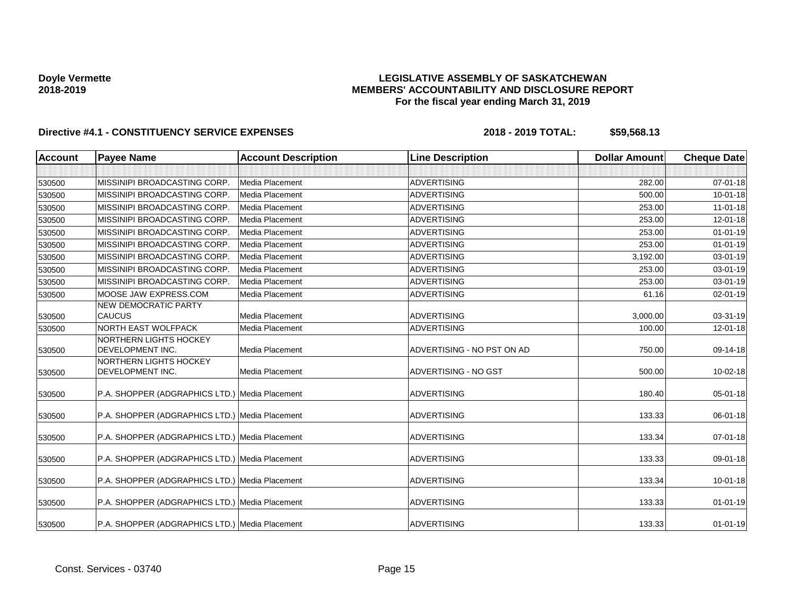## **LEGISLATIVE ASSEMBLY OF SASKATCHEWAN MEMBERS' ACCOUNTABILITY AND DISCLOSURE REPORT For the fiscal year ending March 31, 2019**

| Account | <b>Payee Name</b>                              | <b>Account Description</b> | <b>Line Description</b>    | <b>Dollar Amount</b> | <b>Cheque Date</b> |
|---------|------------------------------------------------|----------------------------|----------------------------|----------------------|--------------------|
|         |                                                |                            |                            |                      |                    |
| 530500  | MISSINIPI BROADCASTING CORP.                   | <b>Media Placement</b>     | <b>ADVERTISING</b>         | 282.00               | $07 - 01 - 18$     |
| 530500  | MISSINIPI BROADCASTING CORP.                   | Media Placement            | <b>ADVERTISING</b>         | 500.00               | $10 - 01 - 18$     |
| 530500  | MISSINIPI BROADCASTING CORP.                   | Media Placement            | <b>ADVERTISING</b>         | 253.00               | $11-01-18$         |
| 530500  | MISSINIPI BROADCASTING CORP.                   | Media Placement            | <b>ADVERTISING</b>         | 253.00               | $12 - 01 - 18$     |
| 530500  | MISSINIPI BROADCASTING CORP.                   | Media Placement            | <b>ADVERTISING</b>         | 253.00               | $01 - 01 - 19$     |
| 530500  | MISSINIPI BROADCASTING CORP.                   | Media Placement            | <b>ADVERTISING</b>         | 253.00               | $01 - 01 - 19$     |
| 530500  | MISSINIPI BROADCASTING CORP.                   | Media Placement            | <b>ADVERTISING</b>         | 3,192.00             | 03-01-19           |
| 530500  | MISSINIPI BROADCASTING CORP                    | Media Placement            | <b>ADVERTISING</b>         | 253.00               | 03-01-19           |
| 530500  | MISSINIPI BROADCASTING CORP.                   | Media Placement            | <b>ADVERTISING</b>         | 253.00               | 03-01-19           |
| 530500  | MOOSE JAW EXPRESS.COM                          | Media Placement            | <b>ADVERTISING</b>         | 61.16                | $02 - 01 - 19$     |
|         | <b>NEW DEMOCRATIC PARTY</b>                    |                            |                            |                      |                    |
| 530500  | <b>CAUCUS</b>                                  | Media Placement            | <b>ADVERTISING</b>         | 3,000.00             | 03-31-19           |
| 530500  | NORTH EAST WOLFPACK                            | Media Placement            | <b>ADVERTISING</b>         | 100.00               | 12-01-18           |
| 530500  | NORTHERN LIGHTS HOCKEY<br>DEVELOPMENT INC.     | Media Placement            | ADVERTISING - NO PST ON AD | 750.00               | 09-14-18           |
| 530500  | NORTHERN LIGHTS HOCKEY<br>DEVELOPMENT INC.     | Media Placement            | ADVERTISING - NO GST       | 500.00               | 10-02-18           |
| 530500  | P.A. SHOPPER (ADGRAPHICS LTD.) Media Placement |                            | <b>ADVERTISING</b>         | 180.40               | 05-01-18           |
| 530500  | P.A. SHOPPER (ADGRAPHICS LTD.) Media Placement |                            | <b>ADVERTISING</b>         | 133.33               | 06-01-18           |
| 530500  | P.A. SHOPPER (ADGRAPHICS LTD.) Media Placement |                            | <b>ADVERTISING</b>         | 133.34               | 07-01-18           |
| 530500  | P.A. SHOPPER (ADGRAPHICS LTD.) Media Placement |                            | <b>ADVERTISING</b>         | 133.33               | 09-01-18           |
| 530500  | P.A. SHOPPER (ADGRAPHICS LTD.) Media Placement |                            | <b>ADVERTISING</b>         | 133.34               | 10-01-18           |
| 530500  | P.A. SHOPPER (ADGRAPHICS LTD.) Media Placement |                            | <b>ADVERTISING</b>         | 133.33               | $01 - 01 - 19$     |
| 530500  | P.A. SHOPPER (ADGRAPHICS LTD.) Media Placement |                            | <b>ADVERTISING</b>         | 133.33               | $01 - 01 - 19$     |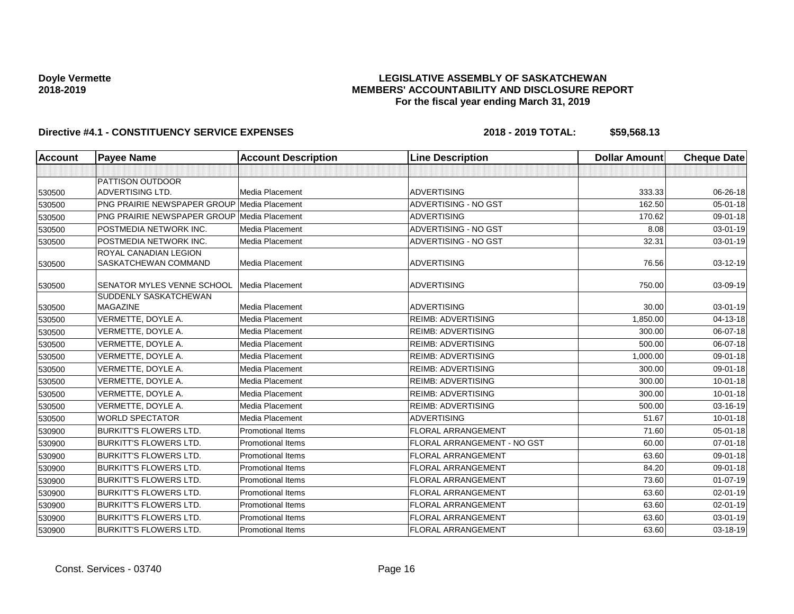## **LEGISLATIVE ASSEMBLY OF SASKATCHEWAN MEMBERS' ACCOUNTABILITY AND DISCLOSURE REPORT For the fiscal year ending March 31, 2019**

| <b>Account</b> | <b>Payee Name</b>                                  | <b>Account Description</b> | <b>Line Description</b>     | <b>Dollar Amount</b> | <b>Cheque Date</b> |
|----------------|----------------------------------------------------|----------------------------|-----------------------------|----------------------|--------------------|
|                |                                                    |                            |                             |                      |                    |
|                | PATTISON OUTDOOR                                   |                            |                             |                      |                    |
| 530500         | ADVERTISING LTD.                                   | Media Placement            | <b>ADVERTISING</b>          | 333.33               | 06-26-18           |
| 530500         | <b>PNG PRAIRIE NEWSPAPER GROUP Media Placement</b> |                            | ADVERTISING - NO GST        | 162.50               | $05 - 01 - 18$     |
| 530500         | <b>PNG PRAIRIE NEWSPAPER GROUP Media Placement</b> |                            | <b>ADVERTISING</b>          | 170.62               | 09-01-18           |
| 530500         | POSTMEDIA NETWORK INC.                             | Media Placement            | ADVERTISING - NO GST        | 8.08                 | 03-01-19           |
| 530500         | POSTMEDIA NETWORK INC.                             | Media Placement            | ADVERTISING - NO GST        | 32.31                | 03-01-19           |
| 530500         | ROYAL CANADIAN LEGION<br>SASKATCHEWAN COMMAND      | Media Placement            | <b>ADVERTISING</b>          | 76.56                | 03-12-19           |
| 530500         | SENATOR MYLES VENNE SCHOOL                         | Media Placement            | <b>ADVERTISING</b>          | 750.00               | 03-09-19           |
| 530500         | <b>SUDDENLY SASKATCHEWAN</b><br>MAGAZINE           | Media Placement            | <b>ADVERTISING</b>          | 30.00                | 03-01-19           |
| 530500         | VERMETTE, DOYLE A.                                 | Media Placement            | <b>REIMB: ADVERTISING</b>   | 1,850.00             | 04-13-18           |
| 530500         | VERMETTE, DOYLE A.                                 | Media Placement            | <b>REIMB: ADVERTISING</b>   | 300.00               | 06-07-18           |
| 530500         | VERMETTE, DOYLE A.                                 | Media Placement            | <b>REIMB: ADVERTISING</b>   | 500.00               | 06-07-18           |
| 530500         | VERMETTE, DOYLE A.                                 | Media Placement            | <b>REIMB: ADVERTISING</b>   | 1,000.00             | 09-01-18           |
| 530500         | VERMETTE, DOYLE A.                                 | Media Placement            | <b>REIMB: ADVERTISING</b>   | 300.00               | 09-01-18           |
| 530500         | VERMETTE, DOYLE A.                                 | Media Placement            | <b>REIMB: ADVERTISING</b>   | 300.00               | $10 - 01 - 18$     |
| 530500         | VERMETTE, DOYLE A.                                 | Media Placement            | <b>REIMB: ADVERTISING</b>   | 300.00               | $10 - 01 - 18$     |
| 530500         | VERMETTE, DOYLE A.                                 | Media Placement            | <b>REIMB: ADVERTISING</b>   | 500.00               | 03-16-19           |
| 530500         | <b>WORLD SPECTATOR</b>                             | Media Placement            | <b>ADVERTISING</b>          | 51.67                | 10-01-18           |
| 530900         | <b>BURKITT'S FLOWERS LTD.</b>                      | <b>Promotional Items</b>   | <b>FLORAL ARRANGEMENT</b>   | 71.60                | $05 - 01 - 18$     |
| 530900         | <b>BURKITT'S FLOWERS LTD.</b>                      | <b>Promotional Items</b>   | FLORAL ARRANGEMENT - NO GST | 60.00                | 07-01-18           |
| 530900         | <b>BURKITT'S FLOWERS LTD.</b>                      | Promotional Items          | <b>FLORAL ARRANGEMENT</b>   | 63.60                | 09-01-18           |
| 530900         | <b>BURKITT'S FLOWERS LTD.</b>                      | Promotional Items          | FLORAL ARRANGEMENT          | 84.20                | 09-01-18           |
| 530900         | <b>BURKITT'S FLOWERS LTD.</b>                      | <b>Promotional Items</b>   | FLORAL ARRANGEMENT          | 73.60                | $01-07-19$         |
| 530900         | <b>BURKITT'S FLOWERS LTD.</b>                      | <b>Promotional Items</b>   | <b>FLORAL ARRANGEMENT</b>   | 63.60                | $02 - 01 - 19$     |
| 530900         | <b>BURKITT'S FLOWERS LTD.</b>                      | <b>Promotional Items</b>   | <b>FLORAL ARRANGEMENT</b>   | 63.60                | 02-01-19           |
| 530900         | <b>BURKITT'S FLOWERS LTD.</b>                      | <b>Promotional Items</b>   | <b>FLORAL ARRANGEMENT</b>   | 63.60                | 03-01-19           |
| 530900         | <b>BURKITT'S FLOWERS LTD.</b>                      | <b>Promotional Items</b>   | <b>FLORAL ARRANGEMENT</b>   | 63.60                | 03-18-19           |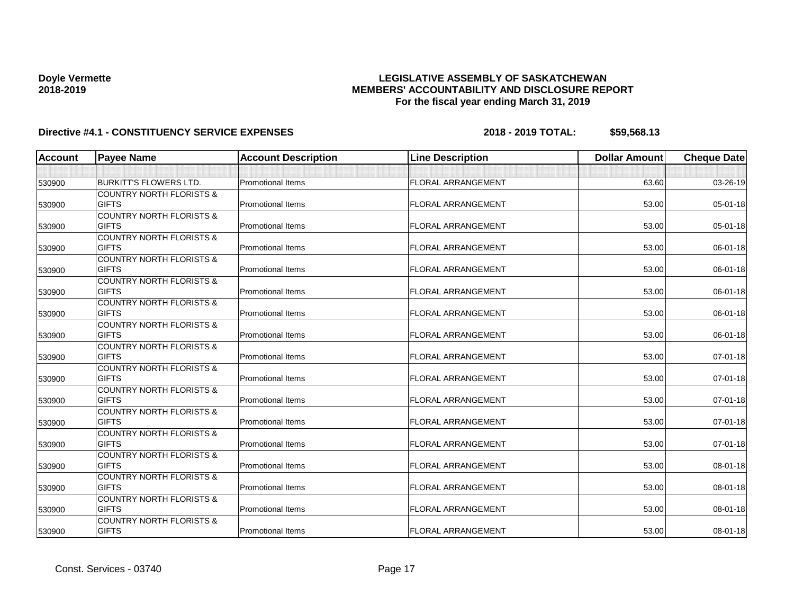## **LEGISLATIVE ASSEMBLY OF SASKATCHEWAN MEMBERS' ACCOUNTABILITY AND DISCLOSURE REPORT For the fiscal year ending March 31, 2019**

| <b>Account</b> | <b>Payee Name</b>                                   | <b>Account Description</b> | <b>Line Description</b>   | <b>Dollar Amount</b> | <b>Cheque Date</b> |
|----------------|-----------------------------------------------------|----------------------------|---------------------------|----------------------|--------------------|
|                |                                                     |                            |                           |                      |                    |
| 530900         | <b>BURKITT'S FLOWERS LTD.</b>                       | Promotional Items          | FLORAL ARRANGEMENT        | 63.60                | 03-26-19           |
|                | <b>COUNTRY NORTH FLORISTS &amp;</b>                 |                            |                           |                      |                    |
| 530900         | <b>GIFTS</b>                                        | Promotional Items          | FLORAL ARRANGEMENT        | 53.00                | 05-01-18           |
|                | <b>COUNTRY NORTH FLORISTS &amp;</b>                 |                            |                           |                      |                    |
| 530900         | <b>GIFTS</b>                                        | <b>Promotional Items</b>   | <b>FLORAL ARRANGEMENT</b> | 53.00                | 05-01-18           |
|                | <b>COUNTRY NORTH FLORISTS &amp;</b>                 |                            |                           |                      |                    |
| 530900         | <b>GIFTS</b>                                        | <b>Promotional Items</b>   | <b>FLORAL ARRANGEMENT</b> | 53.00                | 06-01-18           |
|                | <b>COUNTRY NORTH FLORISTS &amp;</b>                 |                            |                           |                      |                    |
| 530900         | <b>GIFTS</b>                                        | <b>Promotional Items</b>   | <b>FLORAL ARRANGEMENT</b> | 53.00                | 06-01-18           |
|                | <b>COUNTRY NORTH FLORISTS &amp;</b>                 |                            |                           |                      |                    |
| 530900         | <b>GIFTS</b>                                        | <b>Promotional Items</b>   | <b>FLORAL ARRANGEMENT</b> | 53.00                | 06-01-18           |
|                | <b>COUNTRY NORTH FLORISTS &amp;</b>                 |                            |                           |                      |                    |
| 530900         | <b>GIFTS</b>                                        | <b>Promotional Items</b>   | <b>FLORAL ARRANGEMENT</b> | 53.00                | 06-01-18           |
|                | <b>COUNTRY NORTH FLORISTS &amp;</b>                 |                            |                           |                      |                    |
| 530900         | <b>GIFTS</b>                                        | <b>Promotional Items</b>   | <b>FLORAL ARRANGEMENT</b> | 53.00                | 06-01-18           |
|                | <b>COUNTRY NORTH FLORISTS &amp;</b><br><b>GIFTS</b> | <b>Promotional Items</b>   | <b>FLORAL ARRANGEMENT</b> |                      |                    |
| 530900         | <b>COUNTRY NORTH FLORISTS &amp;</b>                 |                            |                           | 53.00                | $07 - 01 - 18$     |
|                | <b>GIFTS</b>                                        | <b>Promotional Items</b>   | <b>FLORAL ARRANGEMENT</b> | 53.00                | 07-01-18           |
| 530900         | <b>COUNTRY NORTH FLORISTS &amp;</b>                 |                            |                           |                      |                    |
| 530900         | <b>GIFTS</b>                                        | <b>Promotional Items</b>   | <b>FLORAL ARRANGEMENT</b> | 53.00                | $07 - 01 - 18$     |
|                | <b>COUNTRY NORTH FLORISTS &amp;</b>                 |                            |                           |                      |                    |
| 530900         | <b>GIFTS</b>                                        | <b>Promotional Items</b>   | <b>FLORAL ARRANGEMENT</b> | 53.00                | $07 - 01 - 18$     |
|                | <b>COUNTRY NORTH FLORISTS &amp;</b>                 |                            |                           |                      |                    |
| 530900         | <b>GIFTS</b>                                        | <b>Promotional Items</b>   | FLORAL ARRANGEMENT        | 53.00                | 07-01-18           |
|                | <b>COUNTRY NORTH FLORISTS &amp;</b>                 |                            |                           |                      |                    |
| 530900         | <b>GIFTS</b>                                        | <b>Promotional Items</b>   | <b>FLORAL ARRANGEMENT</b> | 53.00                | 08-01-18           |
|                | <b>COUNTRY NORTH FLORISTS &amp;</b>                 |                            |                           |                      |                    |
| 530900         | <b>GIFTS</b>                                        | <b>Promotional Items</b>   | <b>FLORAL ARRANGEMENT</b> | 53.00                | 08-01-18           |
|                | <b>COUNTRY NORTH FLORISTS &amp;</b>                 |                            |                           |                      |                    |
| 530900         | <b>GIFTS</b>                                        | <b>Promotional Items</b>   | <b>FLORAL ARRANGEMENT</b> | 53.00                | 08-01-18           |
|                | <b>COUNTRY NORTH FLORISTS &amp;</b>                 |                            |                           |                      |                    |
| 530900         | <b>GIFTS</b>                                        | <b>Promotional Items</b>   | FLORAL ARRANGEMENT        | 53.00                | 08-01-18           |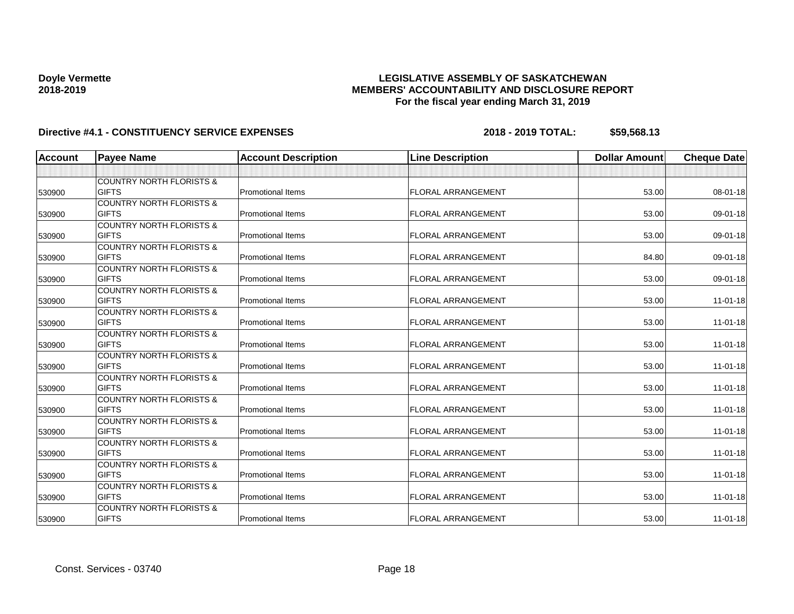## **LEGISLATIVE ASSEMBLY OF SASKATCHEWAN MEMBERS' ACCOUNTABILITY AND DISCLOSURE REPORT For the fiscal year ending March 31, 2019**

| <b>Account</b> | <b>Payee Name</b>                   | <b>Account Description</b> | <b>Line Description</b>   | <b>Dollar Amount</b> | <b>Cheque Date</b> |
|----------------|-------------------------------------|----------------------------|---------------------------|----------------------|--------------------|
|                |                                     |                            |                           |                      |                    |
|                | <b>COUNTRY NORTH FLORISTS &amp;</b> |                            |                           |                      |                    |
| 530900         | <b>GIFTS</b>                        | <b>Promotional Items</b>   | <b>FLORAL ARRANGEMENT</b> | 53.00                | 08-01-18           |
|                | <b>COUNTRY NORTH FLORISTS &amp;</b> |                            |                           |                      |                    |
| 530900         | <b>GIFTS</b>                        | <b>Promotional Items</b>   | <b>FLORAL ARRANGEMENT</b> | 53.00                | 09-01-18           |
|                | <b>COUNTRY NORTH FLORISTS &amp;</b> |                            |                           |                      |                    |
| 530900         | <b>GIFTS</b>                        | <b>Promotional Items</b>   | <b>FLORAL ARRANGEMENT</b> | 53.00                | 09-01-18           |
|                | <b>COUNTRY NORTH FLORISTS &amp;</b> |                            |                           |                      |                    |
| 530900         | <b>GIFTS</b>                        | <b>Promotional Items</b>   | <b>FLORAL ARRANGEMENT</b> | 84.80                | 09-01-18           |
|                | <b>COUNTRY NORTH FLORISTS &amp;</b> |                            |                           |                      |                    |
| 530900         | <b>GIFTS</b>                        | <b>Promotional Items</b>   | <b>FLORAL ARRANGEMENT</b> | 53.00                | 09-01-18           |
|                | <b>COUNTRY NORTH FLORISTS &amp;</b> |                            |                           |                      |                    |
| 530900         | <b>GIFTS</b>                        | <b>Promotional Items</b>   | <b>FLORAL ARRANGEMENT</b> | 53.00                | $11 - 01 - 18$     |
|                | <b>COUNTRY NORTH FLORISTS &amp;</b> |                            |                           |                      |                    |
| 530900         | <b>GIFTS</b>                        | <b>Promotional Items</b>   | <b>FLORAL ARRANGEMENT</b> | 53.00                | $11-01-18$         |
|                | <b>COUNTRY NORTH FLORISTS &amp;</b> |                            |                           |                      |                    |
| 530900         | <b>GIFTS</b>                        | <b>Promotional Items</b>   | <b>FLORAL ARRANGEMENT</b> | 53.00                | $11 - 01 - 18$     |
|                | <b>COUNTRY NORTH FLORISTS &amp;</b> |                            |                           |                      |                    |
| 530900         | <b>GIFTS</b>                        | <b>Promotional Items</b>   | <b>FLORAL ARRANGEMENT</b> | 53.00                | $11 - 01 - 18$     |
|                | <b>COUNTRY NORTH FLORISTS &amp;</b> |                            |                           |                      |                    |
| 530900         | <b>GIFTS</b>                        | <b>Promotional Items</b>   | <b>FLORAL ARRANGEMENT</b> | 53.00                | $11 - 01 - 18$     |
|                | <b>COUNTRY NORTH FLORISTS &amp;</b> |                            |                           |                      |                    |
| 530900         | <b>GIFTS</b>                        | <b>Promotional Items</b>   | FLORAL ARRANGEMENT        | 53.00                | $11-01-18$         |
|                | <b>COUNTRY NORTH FLORISTS &amp;</b> |                            |                           |                      |                    |
| 530900         | <b>GIFTS</b>                        | <b>Promotional Items</b>   | <b>FLORAL ARRANGEMENT</b> | 53.00                | $11 - 01 - 18$     |
|                | <b>COUNTRY NORTH FLORISTS &amp;</b> |                            |                           |                      |                    |
| 530900         | <b>GIFTS</b>                        | <b>Promotional Items</b>   | <b>FLORAL ARRANGEMENT</b> | 53.00                | $11 - 01 - 18$     |
|                | <b>COUNTRY NORTH FLORISTS &amp;</b> |                            |                           |                      |                    |
| 530900         | <b>GIFTS</b>                        | <b>Promotional Items</b>   | <b>FLORAL ARRANGEMENT</b> | 53.00                | $11-01-18$         |
|                | <b>COUNTRY NORTH FLORISTS &amp;</b> |                            |                           |                      |                    |
| 530900         | <b>GIFTS</b>                        | Promotional Items          | <b>FLORAL ARRANGEMENT</b> | 53.00                | $11 - 01 - 18$     |
|                | <b>COUNTRY NORTH FLORISTS &amp;</b> |                            |                           |                      |                    |
| 530900         | <b>GIFTS</b>                        | <b>Promotional Items</b>   | <b>FLORAL ARRANGEMENT</b> | 53.00                | $11 - 01 - 18$     |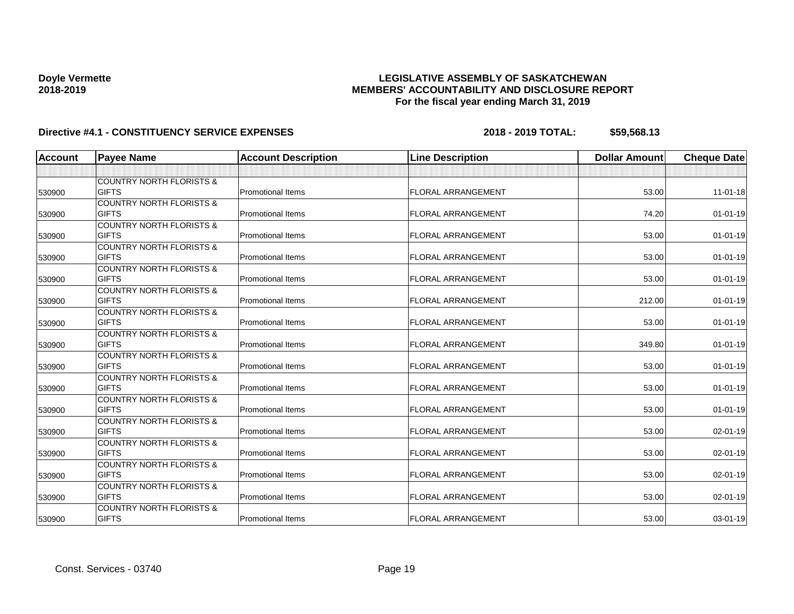## **LEGISLATIVE ASSEMBLY OF SASKATCHEWAN MEMBERS' ACCOUNTABILITY AND DISCLOSURE REPORT For the fiscal year ending March 31, 2019**

| <b>Account</b> | <b>Payee Name</b>                   | <b>Account Description</b> | <b>Line Description</b>   | <b>Dollar Amount</b> | <b>Cheque Date</b> |
|----------------|-------------------------------------|----------------------------|---------------------------|----------------------|--------------------|
|                |                                     |                            |                           |                      |                    |
|                | <b>COUNTRY NORTH FLORISTS &amp;</b> |                            |                           |                      |                    |
| 530900         | <b>GIFTS</b>                        | <b>Promotional Items</b>   | <b>FLORAL ARRANGEMENT</b> | 53.00                | $11-01-18$         |
|                | <b>COUNTRY NORTH FLORISTS &amp;</b> |                            |                           |                      |                    |
| 530900         | <b>GIFTS</b>                        | <b>Promotional Items</b>   | <b>FLORAL ARRANGEMENT</b> | 74.20                | $01 - 01 - 19$     |
|                | <b>COUNTRY NORTH FLORISTS &amp;</b> |                            |                           |                      |                    |
| 530900         | <b>GIFTS</b>                        | <b>Promotional Items</b>   | <b>FLORAL ARRANGEMENT</b> | 53.00                | $01 - 01 - 19$     |
|                | <b>COUNTRY NORTH FLORISTS &amp;</b> |                            |                           |                      |                    |
| 530900         | <b>GIFTS</b>                        | <b>Promotional Items</b>   | <b>FLORAL ARRANGEMENT</b> | 53.00                | $01 - 01 - 19$     |
|                | <b>COUNTRY NORTH FLORISTS &amp;</b> |                            |                           |                      |                    |
| 530900         | <b>GIFTS</b>                        | <b>Promotional Items</b>   | <b>FLORAL ARRANGEMENT</b> | 53.00                | $01 - 01 - 19$     |
|                | <b>COUNTRY NORTH FLORISTS &amp;</b> |                            |                           |                      |                    |
| 530900         | <b>GIFTS</b>                        | <b>Promotional Items</b>   | <b>FLORAL ARRANGEMENT</b> | 212.00               | $01 - 01 - 19$     |
|                | <b>COUNTRY NORTH FLORISTS &amp;</b> |                            |                           |                      |                    |
| 530900         | <b>GIFTS</b>                        | <b>Promotional Items</b>   | <b>FLORAL ARRANGEMENT</b> | 53.00                | $01 - 01 - 19$     |
|                | <b>COUNTRY NORTH FLORISTS &amp;</b> |                            |                           |                      |                    |
| 530900         | <b>GIFTS</b>                        | <b>Promotional Items</b>   | <b>FLORAL ARRANGEMENT</b> | 349.80               | $01 - 01 - 19$     |
|                | <b>COUNTRY NORTH FLORISTS &amp;</b> |                            |                           |                      |                    |
| 530900         | <b>GIFTS</b>                        | <b>Promotional Items</b>   | <b>FLORAL ARRANGEMENT</b> | 53.00                | $01 - 01 - 19$     |
|                | <b>COUNTRY NORTH FLORISTS &amp;</b> |                            |                           |                      |                    |
| 530900         | <b>GIFTS</b>                        | <b>Promotional Items</b>   | <b>FLORAL ARRANGEMENT</b> | 53.00                | $01 - 01 - 19$     |
|                | <b>COUNTRY NORTH FLORISTS &amp;</b> |                            |                           |                      |                    |
| 530900         | <b>GIFTS</b>                        | <b>Promotional Items</b>   | FLORAL ARRANGEMENT        | 53.00                | $01 - 01 - 19$     |
|                | <b>COUNTRY NORTH FLORISTS &amp;</b> |                            |                           |                      |                    |
| 530900         | <b>GIFTS</b>                        | <b>Promotional Items</b>   | <b>FLORAL ARRANGEMENT</b> | 53.00                | 02-01-19           |
|                | <b>COUNTRY NORTH FLORISTS &amp;</b> |                            |                           |                      |                    |
| 530900         | <b>GIFTS</b>                        | <b>Promotional Items</b>   | <b>FLORAL ARRANGEMENT</b> | 53.00                | 02-01-19           |
|                | <b>COUNTRY NORTH FLORISTS &amp;</b> |                            |                           |                      |                    |
| 530900         | <b>GIFTS</b>                        | <b>Promotional Items</b>   | <b>FLORAL ARRANGEMENT</b> | 53.00                | 02-01-19           |
|                | <b>COUNTRY NORTH FLORISTS &amp;</b> |                            |                           |                      |                    |
| 530900         | <b>GIFTS</b>                        | Promotional Items          | <b>FLORAL ARRANGEMENT</b> | 53.00                | 02-01-19           |
|                | <b>COUNTRY NORTH FLORISTS &amp;</b> |                            |                           |                      |                    |
| 530900         | <b>GIFTS</b>                        | <b>Promotional Items</b>   | <b>FLORAL ARRANGEMENT</b> | 53.00                | $03 - 01 - 19$     |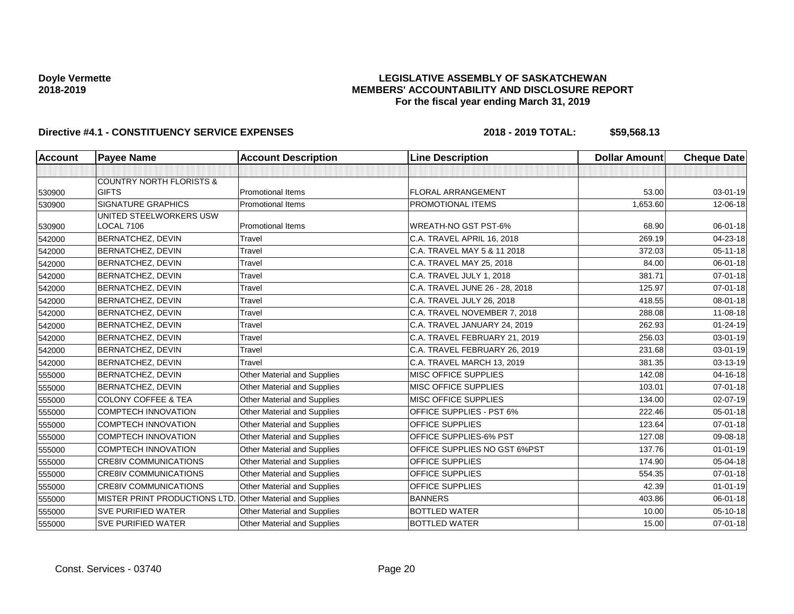## **LEGISLATIVE ASSEMBLY OF SASKATCHEWAN MEMBERS' ACCOUNTABILITY AND DISCLOSURE REPORT For the fiscal year ending March 31, 2019**

| <b>Account</b> | <b>Payee Name</b>                   | <b>Account Description</b>         | <b>Line Description</b>         | <b>Dollar Amount</b> | <b>Cheque Date</b> |
|----------------|-------------------------------------|------------------------------------|---------------------------------|----------------------|--------------------|
|                |                                     |                                    |                                 |                      |                    |
|                | <b>COUNTRY NORTH FLORISTS &amp;</b> |                                    |                                 |                      |                    |
| 530900         | <b>GIFTS</b>                        | <b>Promotional Items</b>           | FLORAL ARRANGEMENT              | 53.00                | $03 - 01 - 19$     |
| 530900         | <b>SIGNATURE GRAPHICS</b>           | <b>Promotional Items</b>           | PROMOTIONAL ITEMS               | 1,653.60             | 12-06-18           |
|                | UNITED STEELWORKERS USW             |                                    |                                 |                      |                    |
| 530900         | LOCAL 7106                          | <b>Promotional Items</b>           | <b>WREATH-NO GST PST-6%</b>     | 68.90                | 06-01-18           |
| 542000         | <b>BERNATCHEZ, DEVIN</b>            | Travel                             | C.A. TRAVEL APRIL 16, 2018      | 269.19               | 04-23-18           |
| 542000         | BERNATCHEZ, DEVIN                   | Travel                             | C.A. TRAVEL MAY 5 & 11 2018     | 372.03               | $05 - 11 - 18$     |
| 542000         | <b>BERNATCHEZ, DEVIN</b>            | Travel                             | C.A. TRAVEL MAY 25, 2018        | 84.00                | $06 - 01 - 18$     |
| 542000         | BERNATCHEZ, DEVIN                   | Travel                             | C.A. TRAVEL JULY 1, 2018        | 381.71               | $07 - 01 - 18$     |
| 542000         | BERNATCHEZ, DEVIN                   | Travel                             | C.A. TRAVEL JUNE 26 - 28, 2018  | 125.97               | $07 - 01 - 18$     |
| 542000         | <b>BERNATCHEZ, DEVIN</b>            | Travel                             | C.A. TRAVEL JULY 26, 2018       | 418.55               | 08-01-18           |
| 542000         | <b>BERNATCHEZ, DEVIN</b>            | Travel                             | C.A. TRAVEL NOVEMBER 7, 2018    | 288.08               | 11-08-18           |
| 542000         | <b>BERNATCHEZ, DEVIN</b>            | Travel                             | C.A. TRAVEL JANUARY 24, 2019    | 262.93               | $01 - 24 - 19$     |
| 542000         | BERNATCHEZ, DEVIN                   | Travel                             | C.A. TRAVEL FEBRUARY 21, 2019   | 256.03               | $03 - 01 - 19$     |
| 542000         | BERNATCHEZ, DEVIN                   | Travel                             | C.A. TRAVEL FEBRUARY 26, 2019   | 231.68               | $03 - 01 - 19$     |
| 542000         | BERNATCHEZ, DEVIN                   | Travel                             | C.A. TRAVEL MARCH 13, 2019      | 381.35               | 03-13-19           |
| 555000         | BERNATCHEZ, DEVIN                   | <b>Other Material and Supplies</b> | MISC OFFICE SUPPLIES            | 142.08               | 04-16-18           |
| 555000         | <b>BERNATCHEZ, DEVIN</b>            | Other Material and Supplies        | <b>MISC OFFICE SUPPLIES</b>     | 103.01               | $07 - 01 - 18$     |
| 555000         | <b>COLONY COFFEE &amp; TEA</b>      | <b>Other Material and Supplies</b> | MISC OFFICE SUPPLIES            | 134.00               | 02-07-19           |
| 555000         | COMPTECH INNOVATION                 | Other Material and Supplies        | <b>OFFICE SUPPLIES - PST 6%</b> | 222.46               | $05 - 01 - 18$     |
| 555000         | <b>COMPTECH INNOVATION</b>          | <b>Other Material and Supplies</b> | <b>OFFICE SUPPLIES</b>          | 123.64               | $07 - 01 - 18$     |
| 555000         | <b>COMPTECH INNOVATION</b>          | Other Material and Supplies        | <b>OFFICE SUPPLIES-6% PST</b>   | 127.08               | 09-08-18           |
| 555000         | <b>COMPTECH INNOVATION</b>          | <b>Other Material and Supplies</b> | OFFICE SUPPLIES NO GST 6%PST    | 137.76               | $01 - 01 - 19$     |
| 555000         | <b>CRE8IV COMMUNICATIONS</b>        | <b>Other Material and Supplies</b> | OFFICE SUPPLIES                 | 174.90               | 05-04-18           |
| 555000         | <b>CRE8IV COMMUNICATIONS</b>        | <b>Other Material and Supplies</b> | OFFICE SUPPLIES                 | 554.35               | $07 - 01 - 18$     |
| 555000         | <b>CRE8IV COMMUNICATIONS</b>        | Other Material and Supplies        | OFFICE SUPPLIES                 | 42.39                | $01 - 01 - 19$     |
| 555000         | MISTER PRINT PRODUCTIONS LTD.       | Other Material and Supplies        | <b>BANNERS</b>                  | 403.86               | 06-01-18           |
| 555000         | <b>SVE PURIFIED WATER</b>           | Other Material and Supplies        | <b>BOTTLED WATER</b>            | 10.00                | 05-10-18           |
| 555000         | <b>SVE PURIFIED WATER</b>           | Other Material and Supplies        | <b>BOTTLED WATER</b>            | 15.00                | $07 - 01 - 18$     |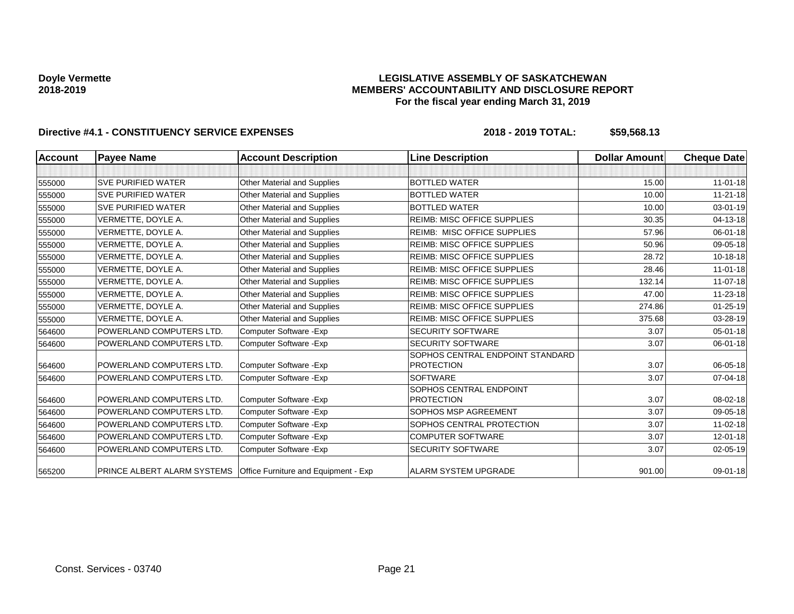### **LEGISLATIVE ASSEMBLY OF SASKATCHEWAN MEMBERS' ACCOUNTABILITY AND DISCLOSURE REPORT For the fiscal year ending March 31, 2019**

| Account | <b>Payee Name</b>                                                       | <b>Account Description</b>         | <b>Line Description</b>                               | <b>Dollar Amount</b> | <b>Cheque Date</b> |
|---------|-------------------------------------------------------------------------|------------------------------------|-------------------------------------------------------|----------------------|--------------------|
|         |                                                                         |                                    |                                                       |                      |                    |
| 555000  | <b>SVE PURIFIED WATER</b>                                               | Other Material and Supplies        | <b>BOTTLED WATER</b>                                  | 15.00                | $11-01-18$         |
| 555000  | <b>SVE PURIFIED WATER</b>                                               | <b>Other Material and Supplies</b> | <b>BOTTLED WATER</b>                                  | 10.00                | $11 - 21 - 18$     |
| 555000  | <b>SVE PURIFIED WATER</b>                                               | Other Material and Supplies        | <b>BOTTLED WATER</b>                                  | 10.00                | 03-01-19           |
| 555000  | VERMETTE, DOYLE A.                                                      | Other Material and Supplies        | <b>REIMB: MISC OFFICE SUPPLIES</b>                    | 30.35                | 04-13-18           |
| 555000  | VERMETTE, DOYLE A.                                                      | Other Material and Supplies        | <b>REIMB: MISC OFFICE SUPPLIES</b>                    | 57.96                | 06-01-18           |
| 555000  | VERMETTE, DOYLE A.                                                      | Other Material and Supplies        | <b>REIMB: MISC OFFICE SUPPLIES</b>                    | 50.96                | 09-05-18           |
| 555000  | VERMETTE, DOYLE A.                                                      | <b>Other Material and Supplies</b> | <b>REIMB: MISC OFFICE SUPPLIES</b>                    | 28.72                | 10-18-18           |
| 555000  | VERMETTE, DOYLE A.                                                      | Other Material and Supplies        | <b>REIMB: MISC OFFICE SUPPLIES</b>                    | 28.46                | $11-01-18$         |
| 555000  | VERMETTE, DOYLE A.                                                      | Other Material and Supplies        | REIMB: MISC OFFICE SUPPLIES                           | 132.14               | $11 - 07 - 18$     |
| 555000  | VERMETTE, DOYLE A.                                                      | Other Material and Supplies        | <b>REIMB: MISC OFFICE SUPPLIES</b>                    | 47.00                | 11-23-18           |
| 555000  | VERMETTE, DOYLE A.                                                      | <b>Other Material and Supplies</b> | <b>REIMB: MISC OFFICE SUPPLIES</b>                    | 274.86               | $01 - 25 - 19$     |
| 555000  | VERMETTE, DOYLE A.                                                      | Other Material and Supplies        | <b>REIMB: MISC OFFICE SUPPLIES</b>                    | 375.68               | 03-28-19           |
| 564600  | POWERLAND COMPUTERS LTD.                                                | Computer Software - Exp            | <b>SECURITY SOFTWARE</b>                              | 3.07                 | $05 - 01 - 18$     |
| 564600  | POWERLAND COMPUTERS LTD.                                                | Computer Software - Exp            | <b>SECURITY SOFTWARE</b>                              | 3.07                 | 06-01-18           |
| 564600  | POWERLAND COMPUTERS LTD.                                                | Computer Software - Exp            | SOPHOS CENTRAL ENDPOINT STANDARD<br><b>PROTECTION</b> | 3.07                 | 06-05-18           |
| 564600  | POWERLAND COMPUTERS LTD.                                                | Computer Software - Exp            | <b>SOFTWARE</b>                                       | 3.07                 | 07-04-18           |
| 564600  | POWERLAND COMPUTERS LTD.                                                | Computer Software - Exp            | SOPHOS CENTRAL ENDPOINT<br><b>PROTECTION</b>          | 3.07                 | 08-02-18           |
| 564600  | POWERLAND COMPUTERS LTD.                                                | Computer Software - Exp            | SOPHOS MSP AGREEMENT                                  | 3.07                 | 09-05-18           |
| 564600  | POWERLAND COMPUTERS LTD.                                                | Computer Software - Exp            | SOPHOS CENTRAL PROTECTION                             | 3.07                 | $11 - 02 - 18$     |
| 564600  | POWERLAND COMPUTERS LTD.                                                | Computer Software - Exp            | <b>COMPUTER SOFTWARE</b>                              | 3.07                 | 12-01-18           |
| 564600  | POWERLAND COMPUTERS LTD.                                                | Computer Software - Exp            | <b>SECURITY SOFTWARE</b>                              | 3.07                 | 02-05-19           |
| 565200  | <b>PRINCE ALBERT ALARM SYSTEMS</b> Office Furniture and Equipment - Exp |                                    | <b>ALARM SYSTEM UPGRADE</b>                           | 901.00               | $09 - 01 - 18$     |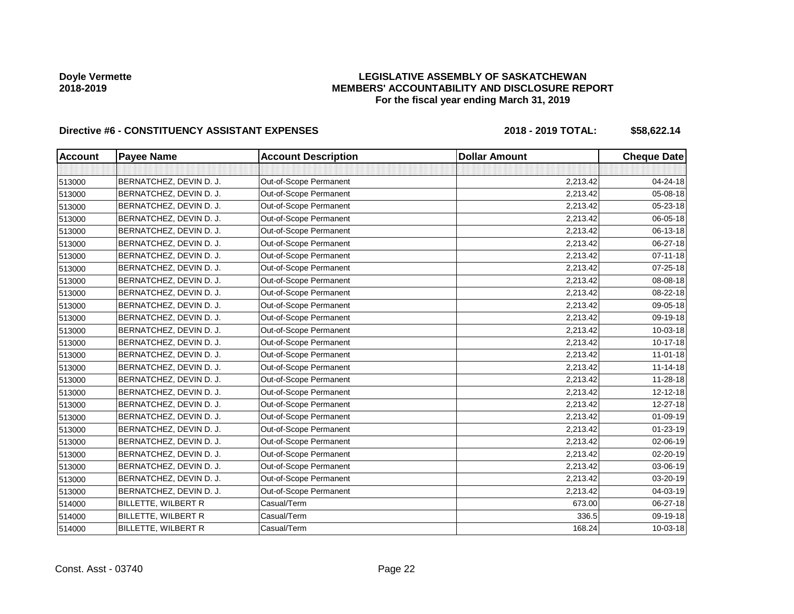## **LEGISLATIVE ASSEMBLY OF SASKATCHEWAN MEMBERS' ACCOUNTABILITY AND DISCLOSURE REPORT For the fiscal year ending March 31, 2019**

| <b>Account</b> | <b>Payee Name</b>       | <b>Account Description</b> | <b>Dollar Amount</b> | <b>Cheque Date</b> |
|----------------|-------------------------|----------------------------|----------------------|--------------------|
|                |                         |                            |                      |                    |
| 513000         | BERNATCHEZ, DEVIN D. J. | Out-of-Scope Permanent     | 2,213.42             | 04-24-18           |
| 513000         | BERNATCHEZ, DEVIN D. J. | Out-of-Scope Permanent     | 2,213.42             | 05-08-18           |
| 513000         | BERNATCHEZ, DEVIN D. J. | Out-of-Scope Permanent     | 2,213.42             | 05-23-18           |
| 513000         | BERNATCHEZ, DEVIN D. J. | Out-of-Scope Permanent     | 2,213.42             | 06-05-18           |
| 513000         | BERNATCHEZ, DEVIN D. J. | Out-of-Scope Permanent     | 2,213.42             | 06-13-18           |
| 513000         | BERNATCHEZ, DEVIN D. J. | Out-of-Scope Permanent     | 2,213.42             | 06-27-18           |
| 513000         | BERNATCHEZ, DEVIN D. J. | Out-of-Scope Permanent     | 2,213.42             | 07-11-18           |
| 513000         | BERNATCHEZ, DEVIN D. J. | Out-of-Scope Permanent     | 2,213.42             | 07-25-18           |
| 513000         | BERNATCHEZ, DEVIN D. J. | Out-of-Scope Permanent     | 2,213.42             | 08-08-18           |
| 513000         | BERNATCHEZ, DEVIN D. J. | Out-of-Scope Permanent     | 2,213.42             | 08-22-18           |
| 513000         | BERNATCHEZ, DEVIN D. J. | Out-of-Scope Permanent     | 2,213.42             | 09-05-18           |
| 513000         | BERNATCHEZ, DEVIN D. J. | Out-of-Scope Permanent     | 2,213.42             | 09-19-18           |
| 513000         | BERNATCHEZ, DEVIN D. J. | Out-of-Scope Permanent     | 2,213.42             | 10-03-18           |
| 513000         | BERNATCHEZ, DEVIN D. J. | Out-of-Scope Permanent     | 2,213.42             | $10 - 17 - 18$     |
| 513000         | BERNATCHEZ, DEVIN D. J. | Out-of-Scope Permanent     | 2,213.42             | $11-01-18$         |
| 513000         | BERNATCHEZ, DEVIN D. J. | Out-of-Scope Permanent     | 2,213.42             | $11 - 14 - 18$     |
| 513000         | BERNATCHEZ, DEVIN D. J. | Out-of-Scope Permanent     | 2,213.42             | $11 - 28 - 18$     |
| 513000         | BERNATCHEZ, DEVIN D. J. | Out-of-Scope Permanent     | 2,213.42             | $12 - 12 - 18$     |
| 513000         | BERNATCHEZ, DEVIN D. J. | Out-of-Scope Permanent     | 2,213.42             | 12-27-18           |
| 513000         | BERNATCHEZ, DEVIN D. J. | Out-of-Scope Permanent     | 2,213.42             | 01-09-19           |
| 513000         | BERNATCHEZ, DEVIN D. J. | Out-of-Scope Permanent     | 2,213.42             | 01-23-19           |
| 513000         | BERNATCHEZ, DEVIN D. J. | Out-of-Scope Permanent     | 2,213.42             | 02-06-19           |
| 513000         | BERNATCHEZ, DEVIN D. J. | Out-of-Scope Permanent     | 2,213.42             | 02-20-19           |
| 513000         | BERNATCHEZ, DEVIN D. J. | Out-of-Scope Permanent     | 2,213.42             | 03-06-19           |
| 513000         | BERNATCHEZ, DEVIN D. J. | Out-of-Scope Permanent     | 2,213.42             | 03-20-19           |
| 513000         | BERNATCHEZ, DEVIN D. J. | Out-of-Scope Permanent     | 2,213.42             | 04-03-19           |
| 514000         | BILLETTE, WILBERT R     | Casual/Term                | 673.00               | 06-27-18           |
| 514000         | BILLETTE, WILBERT R     | Casual/Term                | 336.5                | 09-19-18           |
| 514000         | BILLETTE, WILBERT R     | Casual/Term                | 168.24               | 10-03-18           |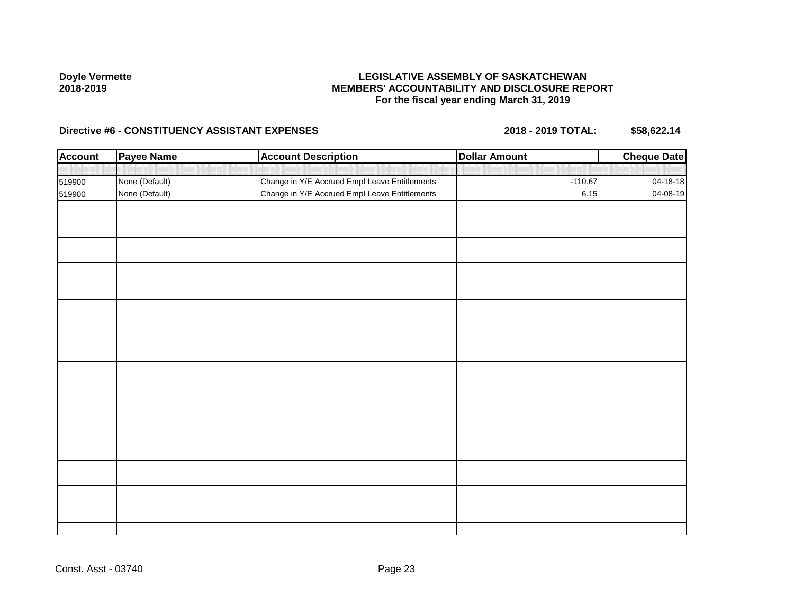## **LEGISLATIVE ASSEMBLY OF SASKATCHEWAN MEMBERS' ACCOUNTABILITY AND DISCLOSURE REPORT For the fiscal year ending March 31, 2019**

| <b>Account</b> | <b>Payee Name</b> | <b>Account Description</b>                    | <b>Dollar Amount</b> | <b>Cheque Date</b> |
|----------------|-------------------|-----------------------------------------------|----------------------|--------------------|
|                |                   |                                               |                      |                    |
| 519900         | None (Default)    | Change in Y/E Accrued Empl Leave Entitlements | $-110.67$            | 04-18-18           |
| 519900         | None (Default)    | Change in Y/E Accrued Empl Leave Entitlements | 6.15                 | 04-08-19           |
|                |                   |                                               |                      |                    |
|                |                   |                                               |                      |                    |
|                |                   |                                               |                      |                    |
|                |                   |                                               |                      |                    |
|                |                   |                                               |                      |                    |
|                |                   |                                               |                      |                    |
|                |                   |                                               |                      |                    |
|                |                   |                                               |                      |                    |
|                |                   |                                               |                      |                    |
|                |                   |                                               |                      |                    |
|                |                   |                                               |                      |                    |
|                |                   |                                               |                      |                    |
|                |                   |                                               |                      |                    |
|                |                   |                                               |                      |                    |
|                |                   |                                               |                      |                    |
|                |                   |                                               |                      |                    |
|                |                   |                                               |                      |                    |
|                |                   |                                               |                      |                    |
|                |                   |                                               |                      |                    |
|                |                   |                                               |                      |                    |
|                |                   |                                               |                      |                    |
|                |                   |                                               |                      |                    |
|                |                   |                                               |                      |                    |
|                |                   |                                               |                      |                    |
|                |                   |                                               |                      |                    |
|                |                   |                                               |                      |                    |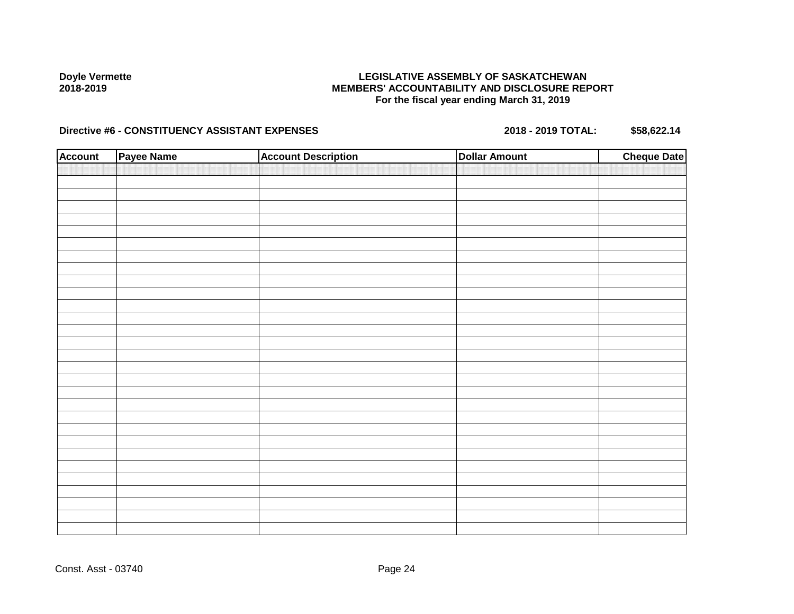## **LEGISLATIVE ASSEMBLY OF SASKATCHEWAN MEMBERS' ACCOUNTABILITY AND DISCLOSURE REPORT For the fiscal year ending March 31, 2019**

| <b>Account</b> | Payee Name | <b>Account Description</b> | <b>Dollar Amount</b> | <b>Cheque Date</b> |
|----------------|------------|----------------------------|----------------------|--------------------|
|                |            |                            |                      |                    |
|                |            |                            |                      |                    |
|                |            |                            |                      |                    |
|                |            |                            |                      |                    |
|                |            |                            |                      |                    |
|                |            |                            |                      |                    |
|                |            |                            |                      |                    |
|                |            |                            |                      |                    |
|                |            |                            |                      |                    |
|                |            |                            |                      |                    |
|                |            |                            |                      |                    |
|                |            |                            |                      |                    |
|                |            |                            |                      |                    |
|                |            |                            |                      |                    |
|                |            |                            |                      |                    |
|                |            |                            |                      |                    |
|                |            |                            |                      |                    |
|                |            |                            |                      |                    |
|                |            |                            |                      |                    |
|                |            |                            |                      |                    |
|                |            |                            |                      |                    |
|                |            |                            |                      |                    |
|                |            |                            |                      |                    |
|                |            |                            |                      |                    |
|                |            |                            |                      |                    |
|                |            |                            |                      |                    |
|                |            |                            |                      |                    |
|                |            |                            |                      |                    |
|                |            |                            |                      |                    |